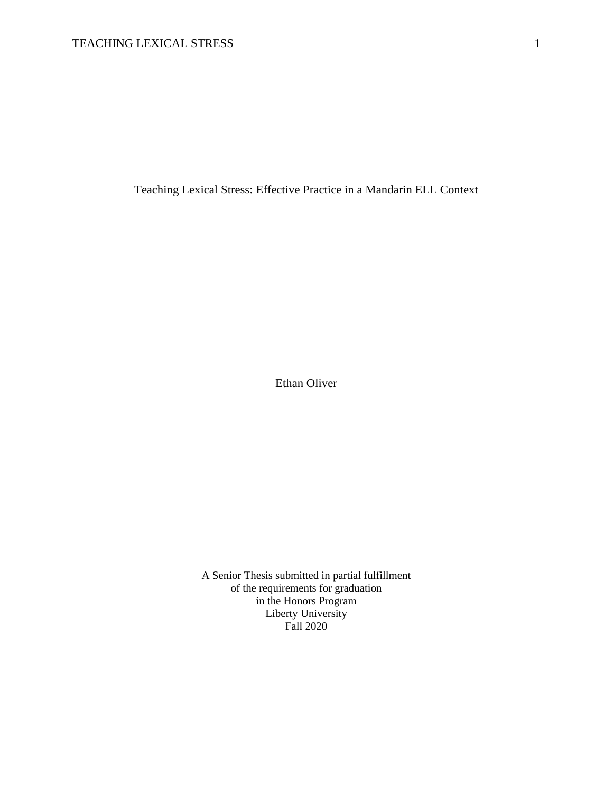Teaching Lexical Stress: Effective Practice in a Mandarin ELL Context

Ethan Oliver

A Senior Thesis submitted in partial fulfillment of the requirements for graduation in the Honors Program Liberty University Fall 2020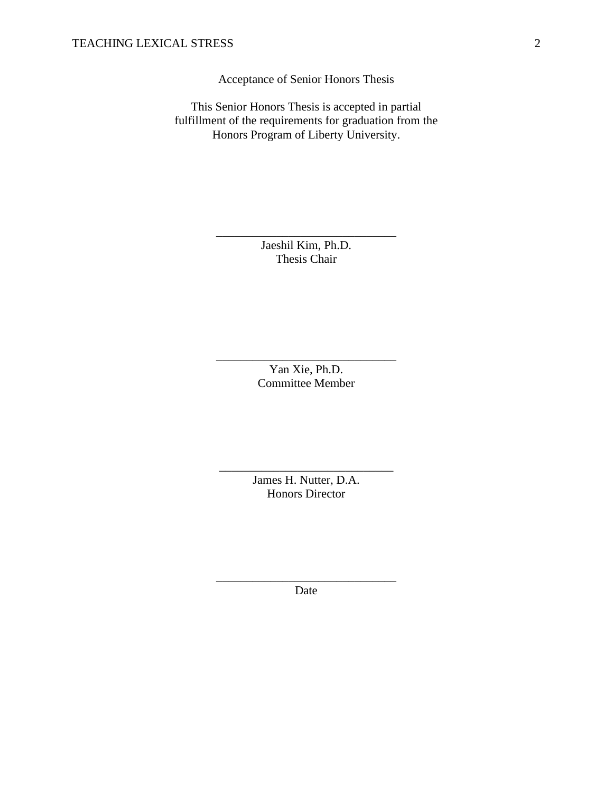Acceptance of Senior Honors Thesis

This Senior Honors Thesis is accepted in partial fulfillment of the requirements for graduation from the Honors Program of Liberty University.

> Jaeshil Kim, Ph.D. Thesis Chair

\_\_\_\_\_\_\_\_\_\_\_\_\_\_\_\_\_\_\_\_\_\_\_\_\_\_\_\_\_\_

Yan Xie, Ph.D. Committee Member

\_\_\_\_\_\_\_\_\_\_\_\_\_\_\_\_\_\_\_\_\_\_\_\_\_\_\_\_\_\_

James H. Nutter, D.A. Honors Director

\_\_\_\_\_\_\_\_\_\_\_\_\_\_\_\_\_\_\_\_\_\_\_\_\_\_\_\_\_

\_\_\_\_\_\_\_\_\_\_\_\_\_\_\_\_\_\_\_\_\_\_\_\_\_\_\_\_\_\_ Date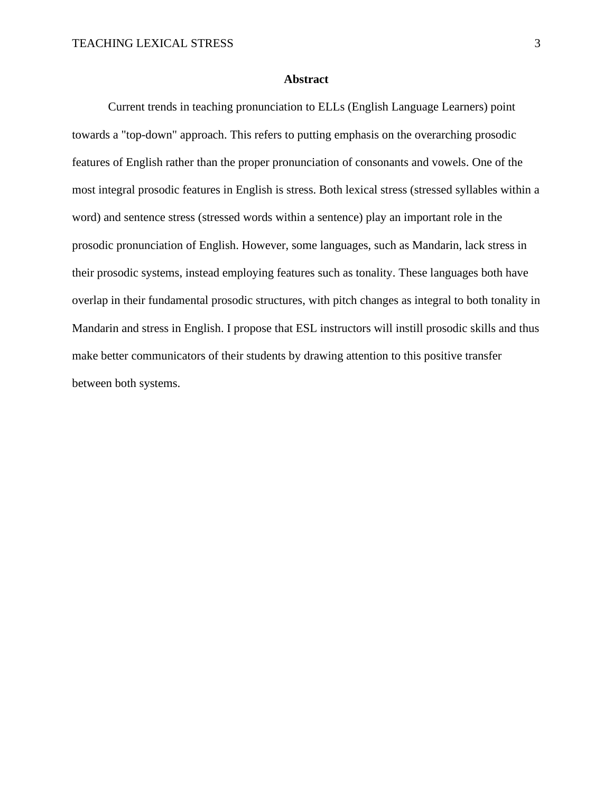# **Abstract**

Current trends in teaching pronunciation to ELLs (English Language Learners) point towards a "top-down" approach. This refers to putting emphasis on the overarching prosodic features of English rather than the proper pronunciation of consonants and vowels. One of the most integral prosodic features in English is stress. Both lexical stress (stressed syllables within a word) and sentence stress (stressed words within a sentence) play an important role in the prosodic pronunciation of English. However, some languages, such as Mandarin, lack stress in their prosodic systems, instead employing features such as tonality. These languages both have overlap in their fundamental prosodic structures, with pitch changes as integral to both tonality in Mandarin and stress in English. I propose that ESL instructors will instill prosodic skills and thus make better communicators of their students by drawing attention to this positive transfer between both systems.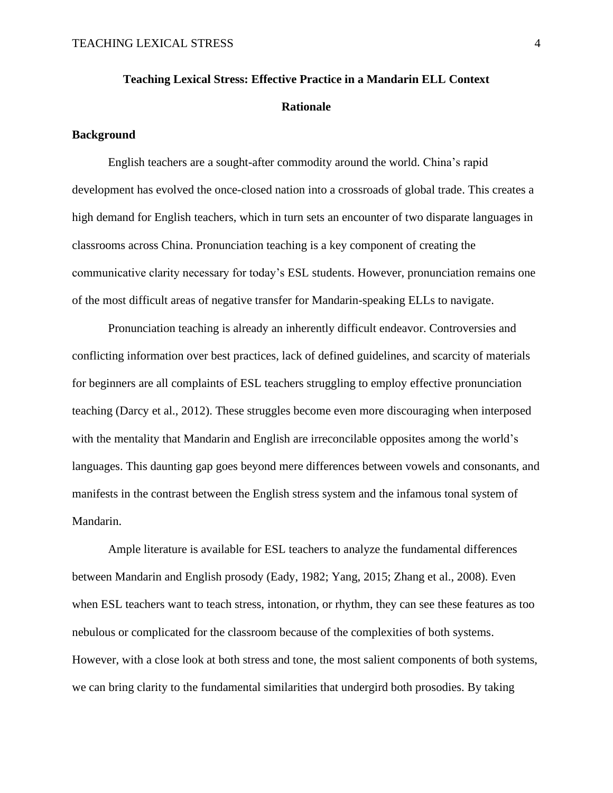# **Teaching Lexical Stress: Effective Practice in a Mandarin ELL Context Rationale**

# **Background**

English teachers are a sought-after commodity around the world. China's rapid development has evolved the once-closed nation into a crossroads of global trade. This creates a high demand for English teachers, which in turn sets an encounter of two disparate languages in classrooms across China. Pronunciation teaching is a key component of creating the communicative clarity necessary for today's ESL students. However, pronunciation remains one of the most difficult areas of negative transfer for Mandarin-speaking ELLs to navigate.

Pronunciation teaching is already an inherently difficult endeavor. Controversies and conflicting information over best practices, lack of defined guidelines, and scarcity of materials for beginners are all complaints of ESL teachers struggling to employ effective pronunciation teaching (Darcy et al., 2012). These struggles become even more discouraging when interposed with the mentality that Mandarin and English are irreconcilable opposites among the world's languages. This daunting gap goes beyond mere differences between vowels and consonants, and manifests in the contrast between the English stress system and the infamous tonal system of Mandarin.

Ample literature is available for ESL teachers to analyze the fundamental differences between Mandarin and English prosody (Eady, 1982; Yang, 2015; Zhang et al., 2008). Even when ESL teachers want to teach stress, intonation, or rhythm, they can see these features as too nebulous or complicated for the classroom because of the complexities of both systems. However, with a close look at both stress and tone, the most salient components of both systems, we can bring clarity to the fundamental similarities that undergird both prosodies. By taking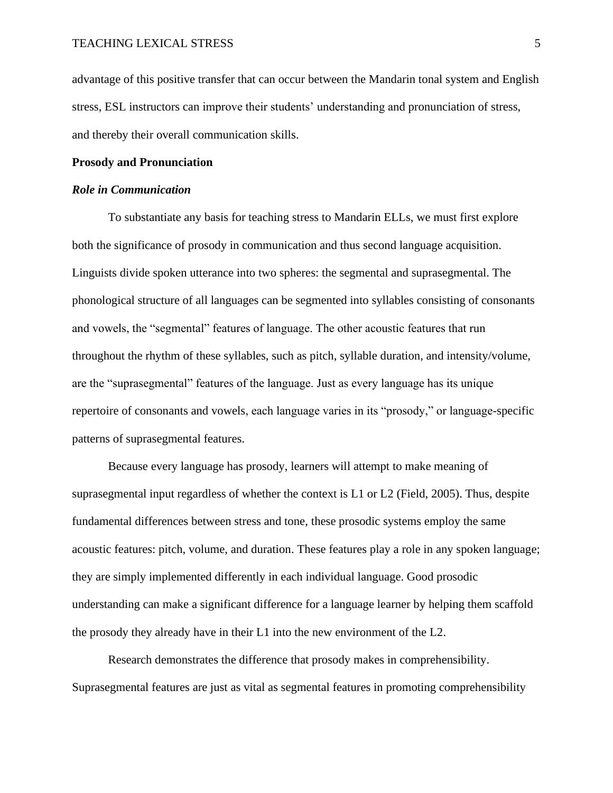advantage of this positive transfer that can occur between the Mandarin tonal system and English stress, ESL instructors can improve their students' understanding and pronunciation of stress, and thereby their overall communication skills.

### **Prosody and Pronunciation**

### *Role in Communication*

To substantiate any basis for teaching stress to Mandarin ELLs, we must first explore both the significance of prosody in communication and thus second language acquisition. Linguists divide spoken utterance into two spheres: the segmental and suprasegmental. The phonological structure of all languages can be segmented into syllables consisting of consonants and vowels, the "segmental" features of language. The other acoustic features that run throughout the rhythm of these syllables, such as pitch, syllable duration, and intensity/volume, are the "suprasegmental" features of the language. Just as every language has its unique repertoire of consonants and vowels, each language varies in its "prosody," or language-specific patterns of suprasegmental features.

Because every language has prosody, learners will attempt to make meaning of suprasegmental input regardless of whether the context is L1 or L2 (Field, 2005). Thus, despite fundamental differences between stress and tone, these prosodic systems employ the same acoustic features: pitch, volume, and duration. These features play a role in any spoken language; they are simply implemented differently in each individual language. Good prosodic understanding can make a significant difference for a language learner by helping them scaffold the prosody they already have in their L1 into the new environment of the L2.

Research demonstrates the difference that prosody makes in comprehensibility. Suprasegmental features are just as vital as segmental features in promoting comprehensibility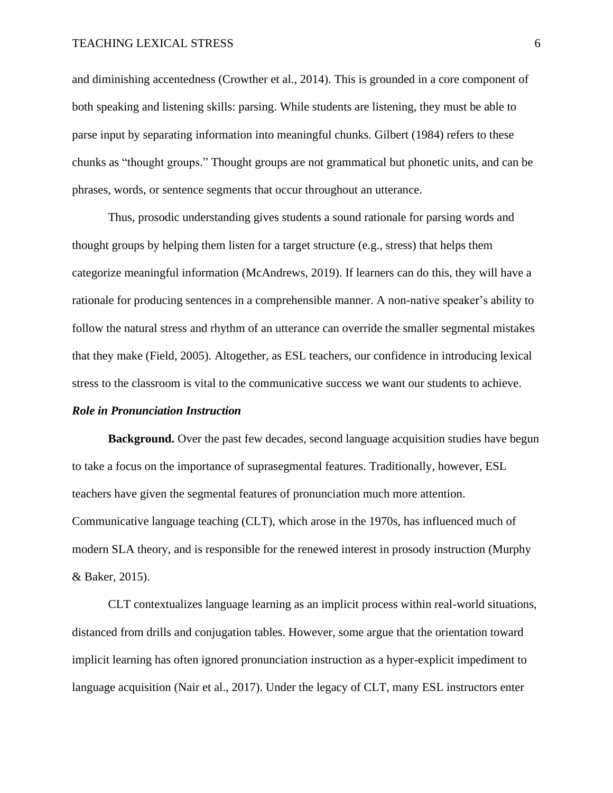and diminishing accentedness (Crowther et al., 2014). This is grounded in a core component of both speaking and listening skills: parsing. While students are listening, they must be able to parse input by separating information into meaningful chunks. Gilbert (1984) refers to these chunks as "thought groups." Thought groups are not grammatical but phonetic units, and can be phrases, words, or sentence segments that occur throughout an utterance.

Thus, prosodic understanding gives students a sound rationale for parsing words and thought groups by helping them listen for a target structure (e.g., stress) that helps them categorize meaningful information (McAndrews, 2019). If learners can do this, they will have a rationale for producing sentences in a comprehensible manner. A non-native speaker's ability to follow the natural stress and rhythm of an utterance can override the smaller segmental mistakes that they make (Field, 2005). Altogether, as ESL teachers, our confidence in introducing lexical stress to the classroom is vital to the communicative success we want our students to achieve.

### *Role in Pronunciation Instruction*

**Background.** Over the past few decades, second language acquisition studies have begun to take a focus on the importance of suprasegmental features. Traditionally, however, ESL teachers have given the segmental features of pronunciation much more attention. Communicative language teaching (CLT), which arose in the 1970s, has influenced much of modern SLA theory, and is responsible for the renewed interest in prosody instruction (Murphy & Baker, 2015).

CLT contextualizes language learning as an implicit process within real-world situations, distanced from drills and conjugation tables. However, some argue that the orientation toward implicit learning has often ignored pronunciation instruction as a hyper-explicit impediment to language acquisition (Nair et al., 2017). Under the legacy of CLT, many ESL instructors enter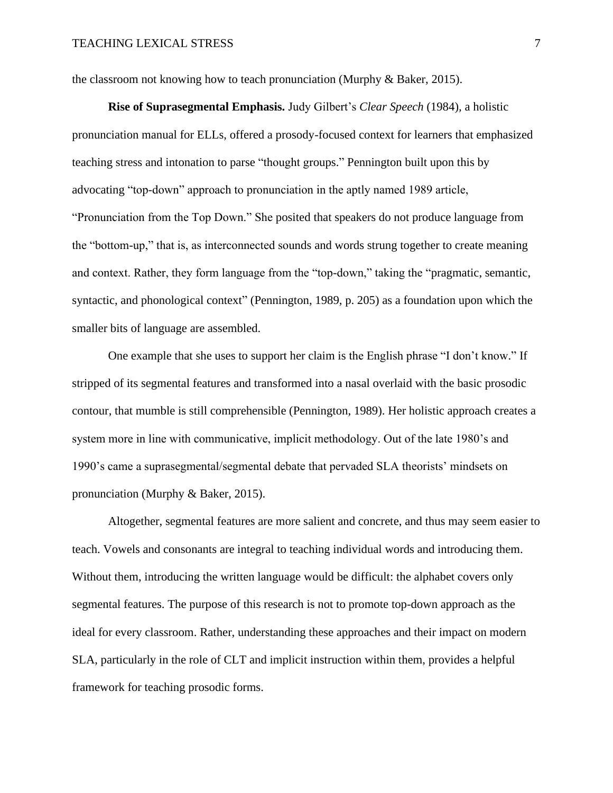the classroom not knowing how to teach pronunciation (Murphy & Baker, 2015).

**Rise of Suprasegmental Emphasis.** Judy Gilbert's *Clear Speech* (1984)*,* a holistic pronunciation manual for ELLs, offered a prosody-focused context for learners that emphasized teaching stress and intonation to parse "thought groups." Pennington built upon this by advocating "top-down" approach to pronunciation in the aptly named 1989 article, "Pronunciation from the Top Down." She posited that speakers do not produce language from the "bottom-up," that is, as interconnected sounds and words strung together to create meaning and context. Rather, they form language from the "top-down," taking the "pragmatic, semantic, syntactic, and phonological context" (Pennington, 1989, p. 205) as a foundation upon which the smaller bits of language are assembled.

One example that she uses to support her claim is the English phrase "I don't know." If stripped of its segmental features and transformed into a nasal overlaid with the basic prosodic contour, that mumble is still comprehensible (Pennington, 1989). Her holistic approach creates a system more in line with communicative, implicit methodology. Out of the late 1980's and 1990's came a suprasegmental/segmental debate that pervaded SLA theorists' mindsets on pronunciation (Murphy & Baker, 2015).

Altogether, segmental features are more salient and concrete, and thus may seem easier to teach. Vowels and consonants are integral to teaching individual words and introducing them. Without them, introducing the written language would be difficult: the alphabet covers only segmental features. The purpose of this research is not to promote top-down approach as the ideal for every classroom. Rather, understanding these approaches and their impact on modern SLA, particularly in the role of CLT and implicit instruction within them, provides a helpful framework for teaching prosodic forms.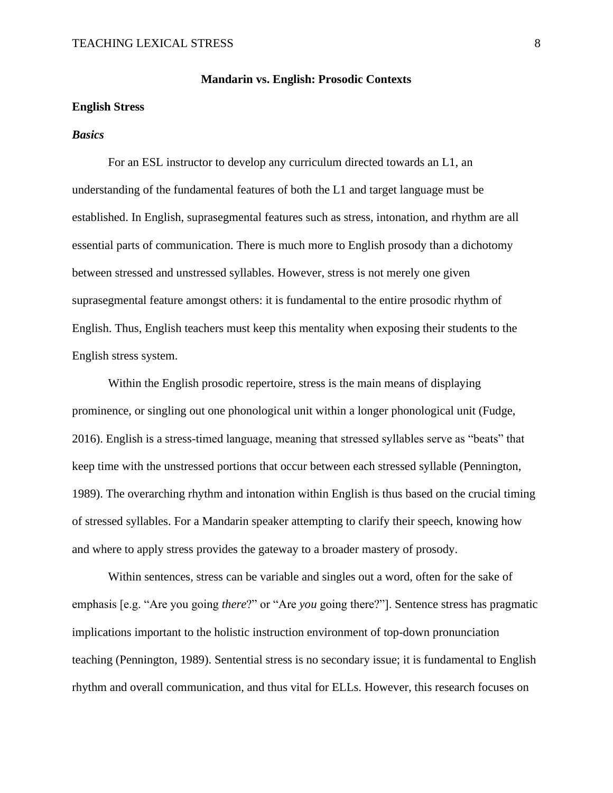# **Mandarin vs. English: Prosodic Contexts**

### **English Stress**

### *Basics*

For an ESL instructor to develop any curriculum directed towards an L1, an understanding of the fundamental features of both the L1 and target language must be established. In English, suprasegmental features such as stress, intonation, and rhythm are all essential parts of communication. There is much more to English prosody than a dichotomy between stressed and unstressed syllables. However, stress is not merely one given suprasegmental feature amongst others: it is fundamental to the entire prosodic rhythm of English. Thus, English teachers must keep this mentality when exposing their students to the English stress system.

Within the English prosodic repertoire, stress is the main means of displaying prominence, or singling out one phonological unit within a longer phonological unit (Fudge, 2016). English is a stress-timed language, meaning that stressed syllables serve as "beats" that keep time with the unstressed portions that occur between each stressed syllable (Pennington, 1989). The overarching rhythm and intonation within English is thus based on the crucial timing of stressed syllables. For a Mandarin speaker attempting to clarify their speech, knowing how and where to apply stress provides the gateway to a broader mastery of prosody.

Within sentences, stress can be variable and singles out a word, often for the sake of emphasis [e.g. "Are you going *there*?" or "Are *you* going there?"]. Sentence stress has pragmatic implications important to the holistic instruction environment of top-down pronunciation teaching (Pennington, 1989). Sentential stress is no secondary issue; it is fundamental to English rhythm and overall communication, and thus vital for ELLs. However, this research focuses on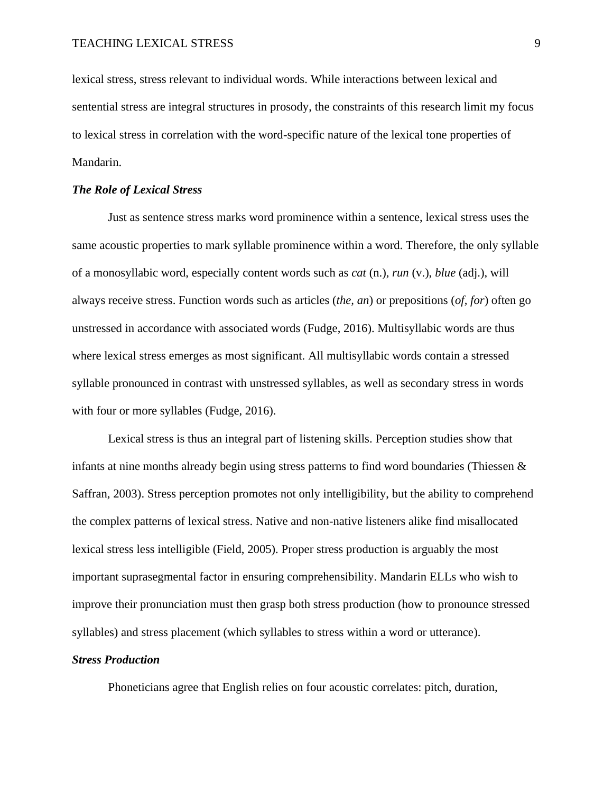lexical stress, stress relevant to individual words. While interactions between lexical and sentential stress are integral structures in prosody, the constraints of this research limit my focus to lexical stress in correlation with the word-specific nature of the lexical tone properties of Mandarin.

# *The Role of Lexical Stress*

Just as sentence stress marks word prominence within a sentence, lexical stress uses the same acoustic properties to mark syllable prominence within a word. Therefore, the only syllable of a monosyllabic word, especially content words such as *cat* (n.), *run* (v.), *blue* (adj.), will always receive stress. Function words such as articles (*the, an*) or prepositions (*of, for*) often go unstressed in accordance with associated words (Fudge, 2016). Multisyllabic words are thus where lexical stress emerges as most significant. All multisyllabic words contain a stressed syllable pronounced in contrast with unstressed syllables, as well as secondary stress in words with four or more syllables (Fudge, 2016).

Lexical stress is thus an integral part of listening skills. Perception studies show that infants at nine months already begin using stress patterns to find word boundaries (Thiessen  $\&$ Saffran, 2003). Stress perception promotes not only intelligibility, but the ability to comprehend the complex patterns of lexical stress. Native and non-native listeners alike find misallocated lexical stress less intelligible (Field, 2005). Proper stress production is arguably the most important suprasegmental factor in ensuring comprehensibility. Mandarin ELLs who wish to improve their pronunciation must then grasp both stress production (how to pronounce stressed syllables) and stress placement (which syllables to stress within a word or utterance).

### *Stress Production*

Phoneticians agree that English relies on four acoustic correlates: pitch, duration,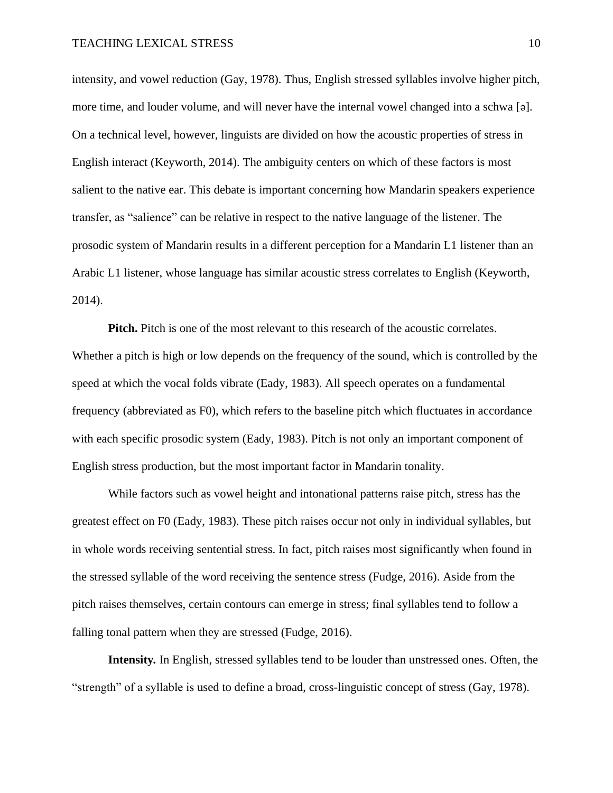intensity, and vowel reduction (Gay, 1978). Thus, English stressed syllables involve higher pitch, more time, and louder volume, and will never have the internal vowel changed into a schwa [ə]. On a technical level, however, linguists are divided on how the acoustic properties of stress in English interact (Keyworth, 2014). The ambiguity centers on which of these factors is most salient to the native ear. This debate is important concerning how Mandarin speakers experience transfer, as "salience" can be relative in respect to the native language of the listener. The prosodic system of Mandarin results in a different perception for a Mandarin L1 listener than an Arabic L1 listener, whose language has similar acoustic stress correlates to English (Keyworth, 2014).

**Pitch.** Pitch is one of the most relevant to this research of the acoustic correlates. Whether a pitch is high or low depends on the frequency of the sound, which is controlled by the speed at which the vocal folds vibrate (Eady, 1983). All speech operates on a fundamental frequency (abbreviated as F0), which refers to the baseline pitch which fluctuates in accordance with each specific prosodic system (Eady, 1983). Pitch is not only an important component of English stress production, but the most important factor in Mandarin tonality.

While factors such as vowel height and intonational patterns raise pitch, stress has the greatest effect on F0 (Eady, 1983). These pitch raises occur not only in individual syllables, but in whole words receiving sentential stress. In fact, pitch raises most significantly when found in the stressed syllable of the word receiving the sentence stress (Fudge, 2016). Aside from the pitch raises themselves, certain contours can emerge in stress; final syllables tend to follow a falling tonal pattern when they are stressed (Fudge, 2016).

**Intensity***.* In English, stressed syllables tend to be louder than unstressed ones. Often, the "strength" of a syllable is used to define a broad, cross-linguistic concept of stress (Gay, 1978).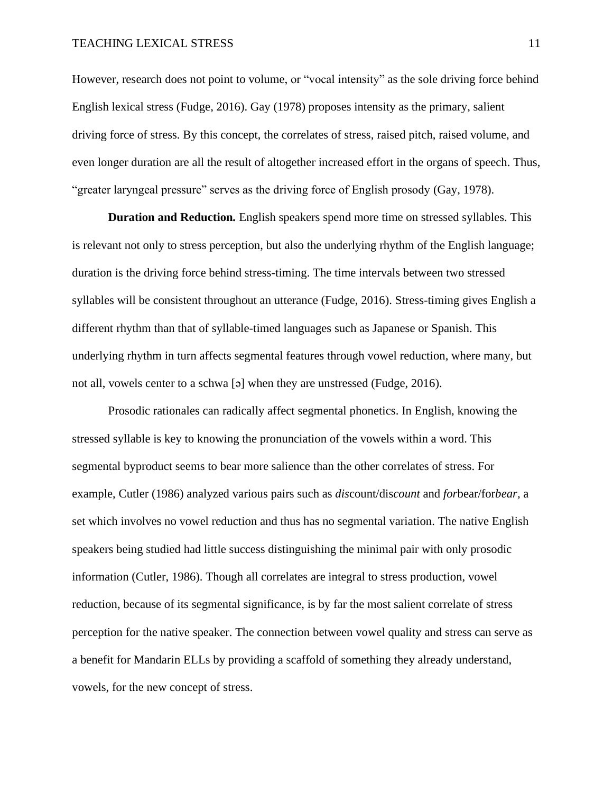However, research does not point to volume, or "vocal intensity" as the sole driving force behind English lexical stress (Fudge, 2016). Gay (1978) proposes intensity as the primary, salient driving force of stress. By this concept, the correlates of stress, raised pitch, raised volume, and even longer duration are all the result of altogether increased effort in the organs of speech. Thus, "greater laryngeal pressure" serves as the driving force of English prosody (Gay, 1978).

**Duration and Reduction***.* English speakers spend more time on stressed syllables. This is relevant not only to stress perception, but also the underlying rhythm of the English language; duration is the driving force behind stress-timing. The time intervals between two stressed syllables will be consistent throughout an utterance (Fudge, 2016). Stress-timing gives English a different rhythm than that of syllable-timed languages such as Japanese or Spanish. This underlying rhythm in turn affects segmental features through vowel reduction, where many, but not all, vowels center to a schwa [ə] when they are unstressed (Fudge, 2016).

Prosodic rationales can radically affect segmental phonetics. In English, knowing the stressed syllable is key to knowing the pronunciation of the vowels within a word. This segmental byproduct seems to bear more salience than the other correlates of stress. For example, Cutler (1986) analyzed various pairs such as *dis*count/dis*count* and *for*bear/for*bear,* a set which involves no vowel reduction and thus has no segmental variation. The native English speakers being studied had little success distinguishing the minimal pair with only prosodic information (Cutler, 1986). Though all correlates are integral to stress production, vowel reduction, because of its segmental significance, is by far the most salient correlate of stress perception for the native speaker. The connection between vowel quality and stress can serve as a benefit for Mandarin ELLs by providing a scaffold of something they already understand, vowels, for the new concept of stress.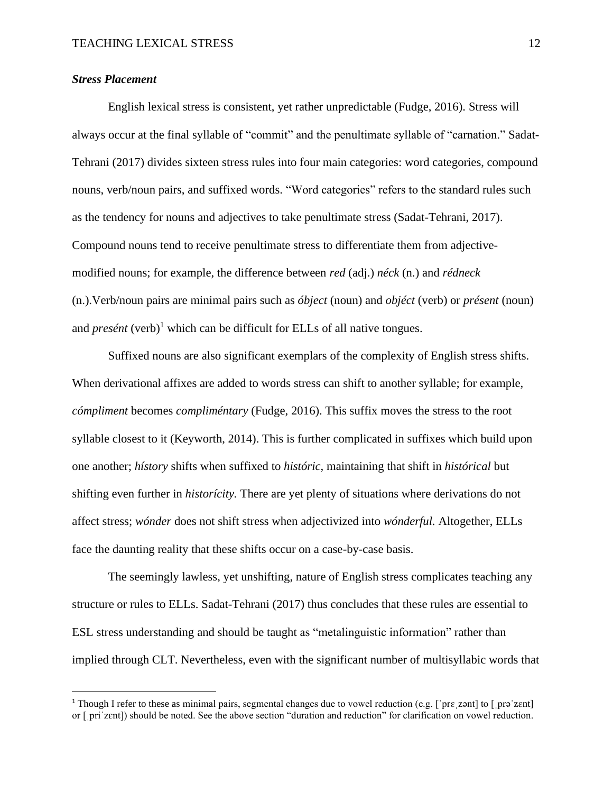# *Stress Placement*

English lexical stress is consistent, yet rather unpredictable (Fudge, 2016). Stress will always occur at the final syllable of "commit" and the penultimate syllable of "carnation." Sadat-Tehrani (2017) divides sixteen stress rules into four main categories: word categories, compound nouns, verb/noun pairs, and suffixed words. "Word categories" refers to the standard rules such as the tendency for nouns and adjectives to take penultimate stress (Sadat-Tehrani, 2017). Compound nouns tend to receive penultimate stress to differentiate them from adjectivemodified nouns; for example, the difference between *red* (adj.) *néck* (n.) and *rédneck*  (n.).Verb/noun pairs are minimal pairs such as *óbject* (noun) and *objéct* (verb) or *présent* (noun) and *presént* (verb)<sup>1</sup> which can be difficult for ELLs of all native tongues.

Suffixed nouns are also significant exemplars of the complexity of English stress shifts. When derivational affixes are added to words stress can shift to another syllable; for example, *cómpliment* becomes *compliméntary* (Fudge, 2016). This suffix moves the stress to the root syllable closest to it (Keyworth, 2014). This is further complicated in suffixes which build upon one another; *hístory* shifts when suffixed to *históric,* maintaining that shift in *histórical* but shifting even further in *historícity.* There are yet plenty of situations where derivations do not affect stress; *wónder* does not shift stress when adjectivized into *wónderful.* Altogether, ELLs face the daunting reality that these shifts occur on a case-by-case basis.

The seemingly lawless, yet unshifting, nature of English stress complicates teaching any structure or rules to ELLs. Sadat-Tehrani (2017) thus concludes that these rules are essential to ESL stress understanding and should be taught as "metalinguistic information" rather than implied through CLT. Nevertheless, even with the significant number of multisyllabic words that

<sup>&</sup>lt;sup>1</sup> Though I refer to these as minimal pairs, segmental changes due to vowel reduction (e.g. ['prɛˌzənt] to [ˌprəˈzɛnt] or [ˌpriˈzɛnt]) should be noted. See the above section "duration and reduction" for clarification on vowel reduction.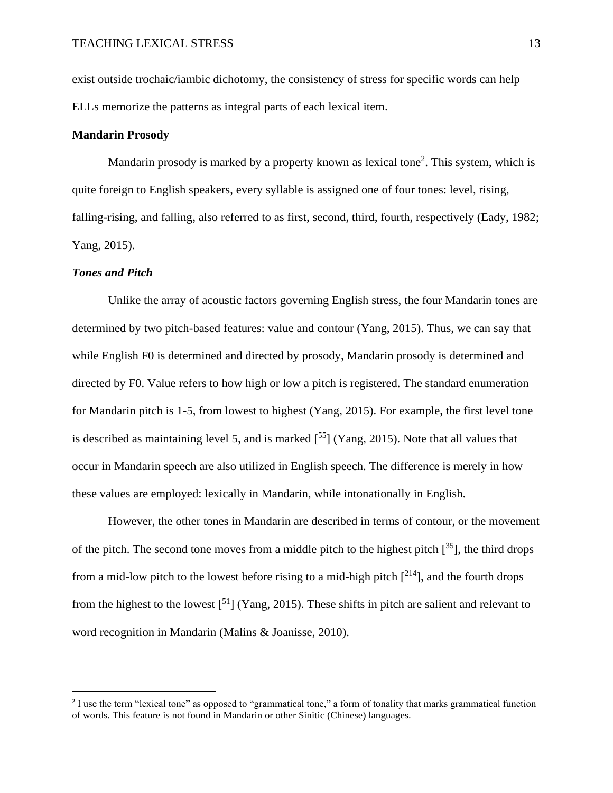exist outside trochaic/iambic dichotomy, the consistency of stress for specific words can help ELLs memorize the patterns as integral parts of each lexical item.

# **Mandarin Prosody**

Mandarin prosody is marked by a property known as lexical tone<sup>2</sup>. This system, which is quite foreign to English speakers, every syllable is assigned one of four tones: level, rising, falling-rising, and falling, also referred to as first, second, third, fourth, respectively (Eady, 1982; Yang, 2015).

### *Tones and Pitch*

Unlike the array of acoustic factors governing English stress, the four Mandarin tones are determined by two pitch-based features: value and contour (Yang, 2015). Thus, we can say that while English F0 is determined and directed by prosody, Mandarin prosody is determined and directed by F0. Value refers to how high or low a pitch is registered. The standard enumeration for Mandarin pitch is 1-5, from lowest to highest (Yang, 2015). For example, the first level tone is described as maintaining level 5, and is marked  $[^{55}]$  (Yang, 2015). Note that all values that occur in Mandarin speech are also utilized in English speech. The difference is merely in how these values are employed: lexically in Mandarin, while intonationally in English.

However, the other tones in Mandarin are described in terms of contour, or the movement of the pitch. The second tone moves from a middle pitch to the highest pitch  $[35]$ , the third drops from a mid-low pitch to the lowest before rising to a mid-high pitch  $[2^{14}]$ , and the fourth drops from the highest to the lowest  $\binom{51}{1}$  (Yang, 2015). These shifts in pitch are salient and relevant to word recognition in Mandarin (Malins & Joanisse, 2010).

<sup>&</sup>lt;sup>2</sup> I use the term "lexical tone" as opposed to "grammatical tone," a form of tonality that marks grammatical function of words. This feature is not found in Mandarin or other Sinitic (Chinese) languages.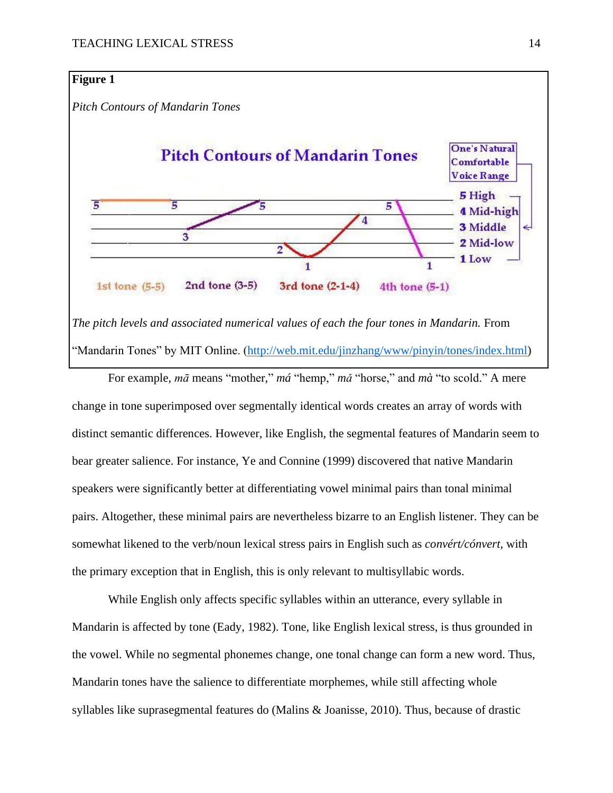# **Figure 1**

*Pitch Contours of Mandarin Tones*



*The pitch levels and associated numerical values of each the four tones in Mandarin.* From "Mandarin Tones" by MIT Online. [\(http://web.mit.edu/jinzhang/www/pinyin/tones/index.html\)](http://web.mit.edu/jinzhang/www/pinyin/tones/index.html)

For example, *mā* means "mother," *má* "hemp," *mǎ* "horse," and *mà* "to scold." A mere change in tone superimposed over segmentally identical words creates an array of words with distinct semantic differences. However, like English, the segmental features of Mandarin seem to bear greater salience. For instance, Ye and Connine (1999) discovered that native Mandarin speakers were significantly better at differentiating vowel minimal pairs than tonal minimal pairs. Altogether, these minimal pairs are nevertheless bizarre to an English listener. They can be somewhat likened to the verb/noun lexical stress pairs in English such as *convért/cónvert,* with the primary exception that in English, this is only relevant to multisyllabic words.

While English only affects specific syllables within an utterance, every syllable in Mandarin is affected by tone (Eady, 1982). Tone, like English lexical stress, is thus grounded in the vowel. While no segmental phonemes change, one tonal change can form a new word. Thus, Mandarin tones have the salience to differentiate morphemes, while still affecting whole syllables like suprasegmental features do (Malins & Joanisse, 2010). Thus, because of drastic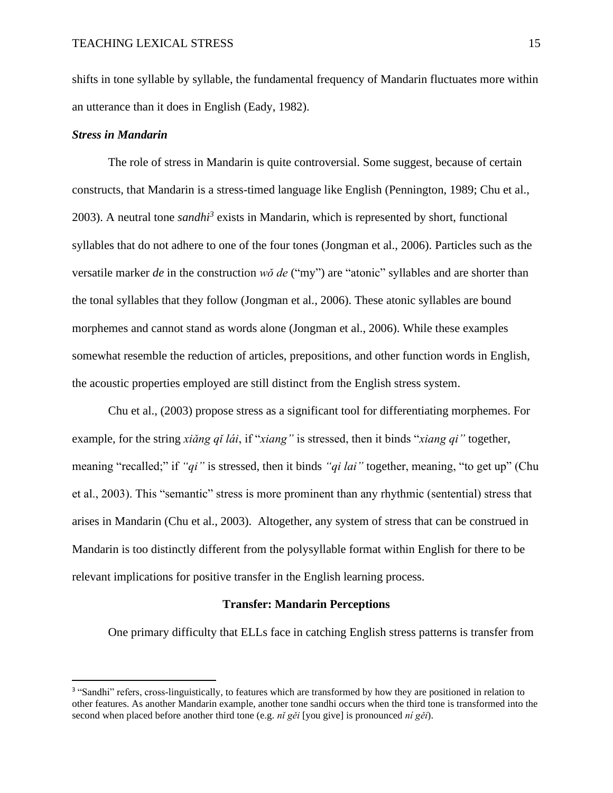shifts in tone syllable by syllable, the fundamental frequency of Mandarin fluctuates more within an utterance than it does in English (Eady, 1982).

### *Stress in Mandarin*

The role of stress in Mandarin is quite controversial. Some suggest, because of certain constructs, that Mandarin is a stress-timed language like English (Pennington, 1989; Chu et al., 2003). A neutral tone *sandhi<sup>3</sup>* exists in Mandarin, which is represented by short, functional syllables that do not adhere to one of the four tones (Jongman et al., 2006). Particles such as the versatile marker *de* in the construction *wǒ de* ("my") are "atonic" syllables and are shorter than the tonal syllables that they follow (Jongman et al., 2006). These atonic syllables are bound morphemes and cannot stand as words alone (Jongman et al., 2006). While these examples somewhat resemble the reduction of articles, prepositions, and other function words in English, the acoustic properties employed are still distinct from the English stress system.

Chu et al., (2003) propose stress as a significant tool for differentiating morphemes. For example, for the string *xiǎng qǐ lái*, if "*xiang"* is stressed, then it binds "*xiang qi"* together, meaning "recalled;" if *"qi"* is stressed, then it binds *"qi lai"* together, meaning, "to get up" (Chu et al., 2003). This "semantic" stress is more prominent than any rhythmic (sentential) stress that arises in Mandarin (Chu et al., 2003). Altogether, any system of stress that can be construed in Mandarin is too distinctly different from the polysyllable format within English for there to be relevant implications for positive transfer in the English learning process.

### **Transfer: Mandarin Perceptions**

One primary difficulty that ELLs face in catching English stress patterns is transfer from

<sup>&</sup>lt;sup>3</sup> "Sandhi" refers, cross-linguistically, to features which are transformed by how they are positioned in relation to other features. As another Mandarin example, another tone sandhi occurs when the third tone is transformed into the second when placed before another third tone (e.g. *nǐ gěi* [you give] is pronounced *ní gěi*).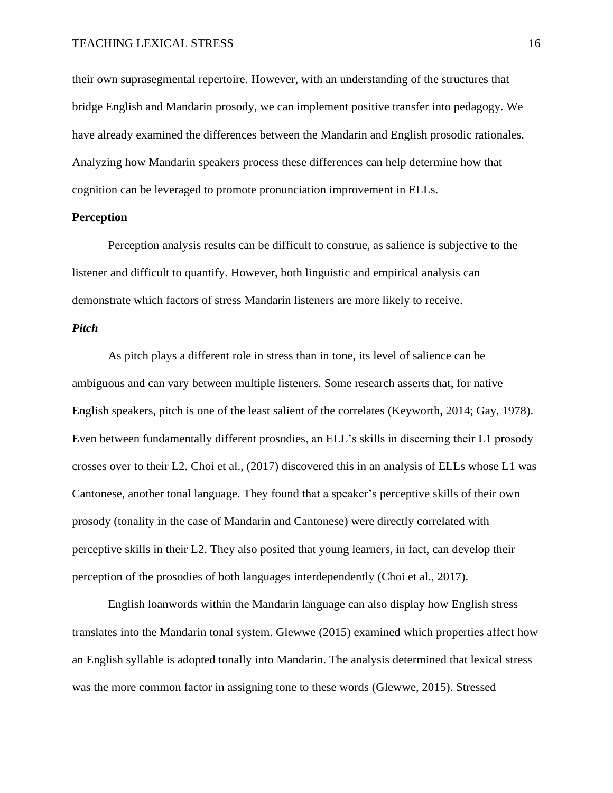their own suprasegmental repertoire. However, with an understanding of the structures that bridge English and Mandarin prosody, we can implement positive transfer into pedagogy. We have already examined the differences between the Mandarin and English prosodic rationales. Analyzing how Mandarin speakers process these differences can help determine how that cognition can be leveraged to promote pronunciation improvement in ELLs.

# **Perception**

Perception analysis results can be difficult to construe, as salience is subjective to the listener and difficult to quantify. However, both linguistic and empirical analysis can demonstrate which factors of stress Mandarin listeners are more likely to receive.

# *Pitch*

As pitch plays a different role in stress than in tone, its level of salience can be ambiguous and can vary between multiple listeners. Some research asserts that, for native English speakers, pitch is one of the least salient of the correlates (Keyworth, 2014; Gay, 1978). Even between fundamentally different prosodies, an ELL's skills in discerning their L1 prosody crosses over to their L2. Choi et al., (2017) discovered this in an analysis of ELLs whose L1 was Cantonese, another tonal language. They found that a speaker's perceptive skills of their own prosody (tonality in the case of Mandarin and Cantonese) were directly correlated with perceptive skills in their L2. They also posited that young learners, in fact, can develop their perception of the prosodies of both languages interdependently (Choi et al., 2017).

English loanwords within the Mandarin language can also display how English stress translates into the Mandarin tonal system. Glewwe (2015) examined which properties affect how an English syllable is adopted tonally into Mandarin. The analysis determined that lexical stress was the more common factor in assigning tone to these words (Glewwe, 2015). Stressed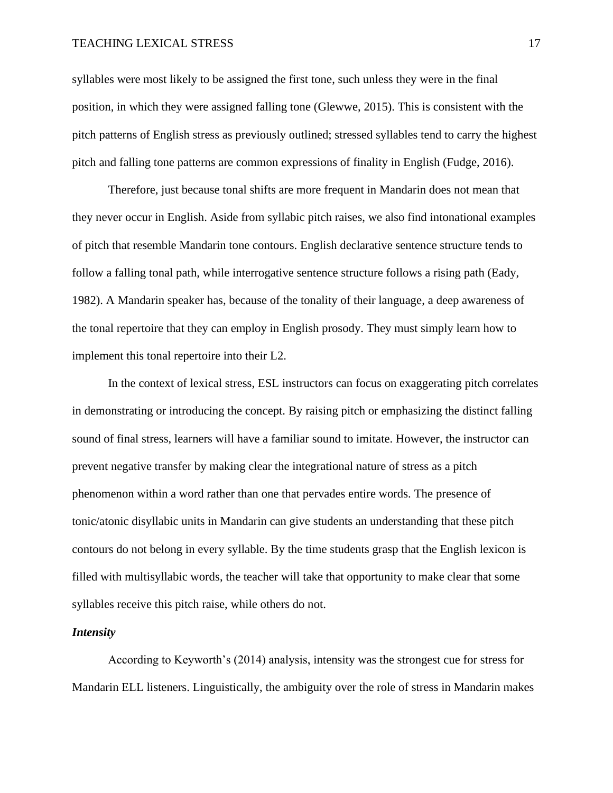syllables were most likely to be assigned the first tone, such unless they were in the final position, in which they were assigned falling tone (Glewwe, 2015). This is consistent with the pitch patterns of English stress as previously outlined; stressed syllables tend to carry the highest pitch and falling tone patterns are common expressions of finality in English (Fudge, 2016).

Therefore, just because tonal shifts are more frequent in Mandarin does not mean that they never occur in English. Aside from syllabic pitch raises, we also find intonational examples of pitch that resemble Mandarin tone contours. English declarative sentence structure tends to follow a falling tonal path, while interrogative sentence structure follows a rising path (Eady, 1982). A Mandarin speaker has, because of the tonality of their language, a deep awareness of the tonal repertoire that they can employ in English prosody. They must simply learn how to implement this tonal repertoire into their L2.

In the context of lexical stress, ESL instructors can focus on exaggerating pitch correlates in demonstrating or introducing the concept. By raising pitch or emphasizing the distinct falling sound of final stress, learners will have a familiar sound to imitate. However, the instructor can prevent negative transfer by making clear the integrational nature of stress as a pitch phenomenon within a word rather than one that pervades entire words. The presence of tonic/atonic disyllabic units in Mandarin can give students an understanding that these pitch contours do not belong in every syllable. By the time students grasp that the English lexicon is filled with multisyllabic words, the teacher will take that opportunity to make clear that some syllables receive this pitch raise, while others do not.

#### *Intensity*

According to Keyworth's (2014) analysis, intensity was the strongest cue for stress for Mandarin ELL listeners. Linguistically, the ambiguity over the role of stress in Mandarin makes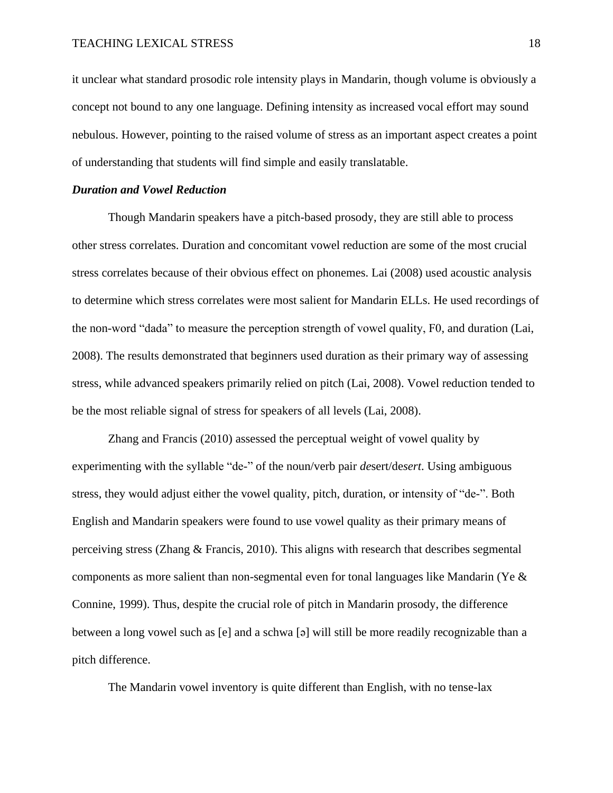it unclear what standard prosodic role intensity plays in Mandarin, though volume is obviously a concept not bound to any one language. Defining intensity as increased vocal effort may sound nebulous. However, pointing to the raised volume of stress as an important aspect creates a point of understanding that students will find simple and easily translatable.

### *Duration and Vowel Reduction*

Though Mandarin speakers have a pitch-based prosody, they are still able to process other stress correlates. Duration and concomitant vowel reduction are some of the most crucial stress correlates because of their obvious effect on phonemes. Lai (2008) used acoustic analysis to determine which stress correlates were most salient for Mandarin ELLs. He used recordings of the non-word "dada" to measure the perception strength of vowel quality, F0, and duration (Lai, 2008). The results demonstrated that beginners used duration as their primary way of assessing stress, while advanced speakers primarily relied on pitch (Lai, 2008). Vowel reduction tended to be the most reliable signal of stress for speakers of all levels (Lai, 2008).

Zhang and Francis (2010) assessed the perceptual weight of vowel quality by experimenting with the syllable "de-" of the noun/verb pair *de*sert/de*sert*. Using ambiguous stress, they would adjust either the vowel quality, pitch, duration, or intensity of "de-". Both English and Mandarin speakers were found to use vowel quality as their primary means of perceiving stress (Zhang & Francis, 2010). This aligns with research that describes segmental components as more salient than non-segmental even for tonal languages like Mandarin (Ye & Connine, 1999). Thus, despite the crucial role of pitch in Mandarin prosody, the difference between a long vowel such as [e] and a schwa [ə] will still be more readily recognizable than a pitch difference.

The Mandarin vowel inventory is quite different than English, with no tense-lax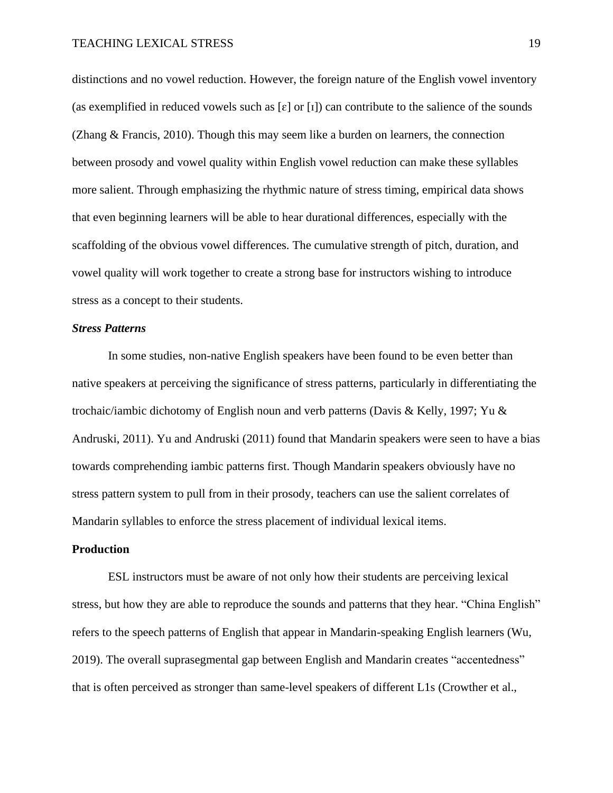distinctions and no vowel reduction. However, the foreign nature of the English vowel inventory (as exemplified in reduced vowels such as  $\lceil \varepsilon \rceil$  or  $\lceil \iota \rceil$ ) can contribute to the salience of the sounds (Zhang & Francis, 2010). Though this may seem like a burden on learners, the connection between prosody and vowel quality within English vowel reduction can make these syllables more salient. Through emphasizing the rhythmic nature of stress timing, empirical data shows that even beginning learners will be able to hear durational differences, especially with the scaffolding of the obvious vowel differences. The cumulative strength of pitch, duration, and vowel quality will work together to create a strong base for instructors wishing to introduce stress as a concept to their students.

#### *Stress Patterns*

In some studies, non-native English speakers have been found to be even better than native speakers at perceiving the significance of stress patterns, particularly in differentiating the trochaic/iambic dichotomy of English noun and verb patterns (Davis & Kelly, 1997; Yu & Andruski, 2011). Yu and Andruski (2011) found that Mandarin speakers were seen to have a bias towards comprehending iambic patterns first. Though Mandarin speakers obviously have no stress pattern system to pull from in their prosody, teachers can use the salient correlates of Mandarin syllables to enforce the stress placement of individual lexical items.

# **Production**

ESL instructors must be aware of not only how their students are perceiving lexical stress, but how they are able to reproduce the sounds and patterns that they hear. "China English" refers to the speech patterns of English that appear in Mandarin-speaking English learners (Wu, 2019). The overall suprasegmental gap between English and Mandarin creates "accentedness" that is often perceived as stronger than same-level speakers of different L1s (Crowther et al.,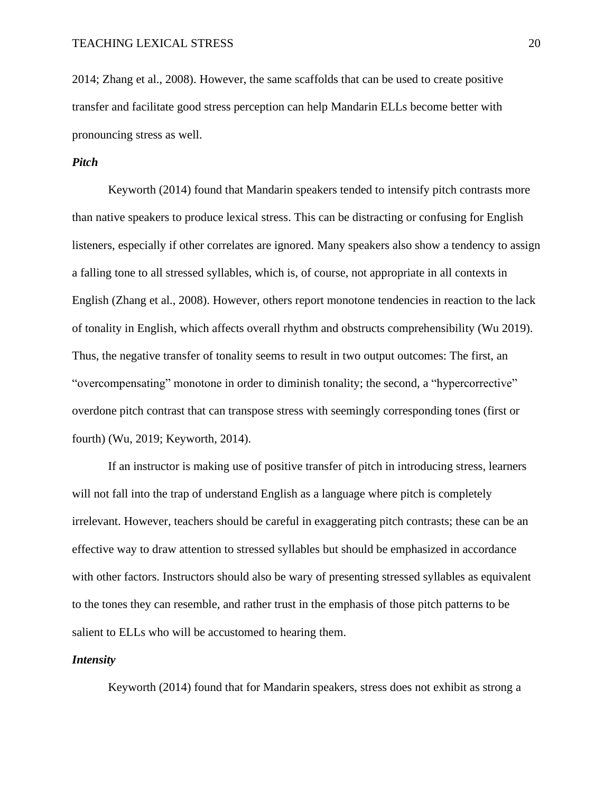2014; Zhang et al., 2008). However, the same scaffolds that can be used to create positive transfer and facilitate good stress perception can help Mandarin ELLs become better with pronouncing stress as well.

# *Pitch*

Keyworth (2014) found that Mandarin speakers tended to intensify pitch contrasts more than native speakers to produce lexical stress. This can be distracting or confusing for English listeners, especially if other correlates are ignored. Many speakers also show a tendency to assign a falling tone to all stressed syllables, which is, of course, not appropriate in all contexts in English (Zhang et al., 2008). However, others report monotone tendencies in reaction to the lack of tonality in English, which affects overall rhythm and obstructs comprehensibility (Wu 2019). Thus, the negative transfer of tonality seems to result in two output outcomes: The first, an "overcompensating" monotone in order to diminish tonality; the second, a "hypercorrective" overdone pitch contrast that can transpose stress with seemingly corresponding tones (first or fourth) (Wu, 2019; Keyworth, 2014).

If an instructor is making use of positive transfer of pitch in introducing stress, learners will not fall into the trap of understand English as a language where pitch is completely irrelevant. However, teachers should be careful in exaggerating pitch contrasts; these can be an effective way to draw attention to stressed syllables but should be emphasized in accordance with other factors. Instructors should also be wary of presenting stressed syllables as equivalent to the tones they can resemble, and rather trust in the emphasis of those pitch patterns to be salient to ELLs who will be accustomed to hearing them.

# *Intensity*

Keyworth (2014) found that for Mandarin speakers, stress does not exhibit as strong a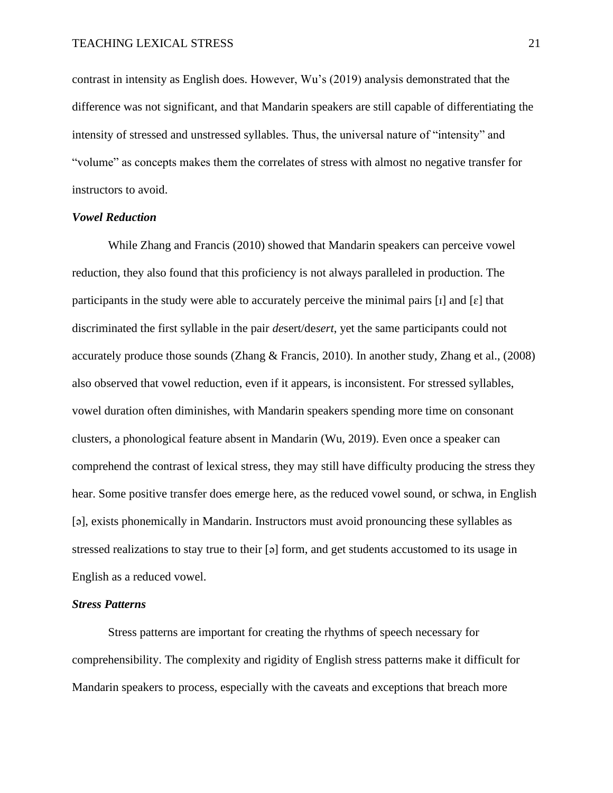contrast in intensity as English does. However, Wu's (2019) analysis demonstrated that the difference was not significant, and that Mandarin speakers are still capable of differentiating the intensity of stressed and unstressed syllables. Thus, the universal nature of "intensity" and "volume" as concepts makes them the correlates of stress with almost no negative transfer for instructors to avoid.

### *Vowel Reduction*

While Zhang and Francis (2010) showed that Mandarin speakers can perceive vowel reduction, they also found that this proficiency is not always paralleled in production. The participants in the study were able to accurately perceive the minimal pairs  $\lceil 1 \rceil$  and  $\lceil \varepsilon \rceil$  that discriminated the first syllable in the pair *de*sert/de*sert*, yet the same participants could not accurately produce those sounds (Zhang & Francis, 2010). In another study, Zhang et al., (2008) also observed that vowel reduction, even if it appears, is inconsistent. For stressed syllables, vowel duration often diminishes, with Mandarin speakers spending more time on consonant clusters, a phonological feature absent in Mandarin (Wu, 2019). Even once a speaker can comprehend the contrast of lexical stress, they may still have difficulty producing the stress they hear. Some positive transfer does emerge here, as the reduced vowel sound, or schwa, in English [ə], exists phonemically in Mandarin. Instructors must avoid pronouncing these syllables as stressed realizations to stay true to their [ə] form, and get students accustomed to its usage in English as a reduced vowel.

### *Stress Patterns*

Stress patterns are important for creating the rhythms of speech necessary for comprehensibility. The complexity and rigidity of English stress patterns make it difficult for Mandarin speakers to process, especially with the caveats and exceptions that breach more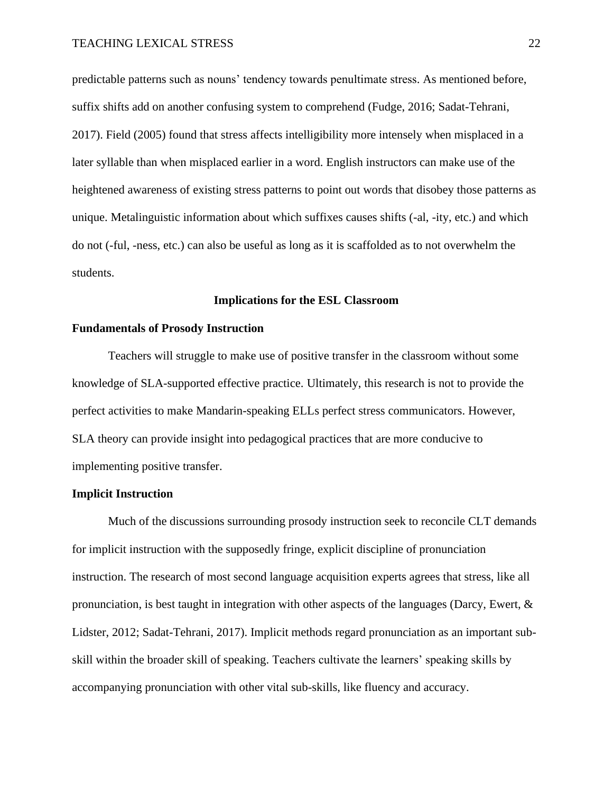predictable patterns such as nouns' tendency towards penultimate stress. As mentioned before, suffix shifts add on another confusing system to comprehend (Fudge, 2016; Sadat-Tehrani, 2017). Field (2005) found that stress affects intelligibility more intensely when misplaced in a later syllable than when misplaced earlier in a word. English instructors can make use of the heightened awareness of existing stress patterns to point out words that disobey those patterns as unique. Metalinguistic information about which suffixes causes shifts (-al, -ity, etc.) and which do not (-ful, -ness, etc.) can also be useful as long as it is scaffolded as to not overwhelm the students.

# **Implications for the ESL Classroom**

# **Fundamentals of Prosody Instruction**

Teachers will struggle to make use of positive transfer in the classroom without some knowledge of SLA-supported effective practice. Ultimately, this research is not to provide the perfect activities to make Mandarin-speaking ELLs perfect stress communicators. However, SLA theory can provide insight into pedagogical practices that are more conducive to implementing positive transfer.

# **Implicit Instruction**

Much of the discussions surrounding prosody instruction seek to reconcile CLT demands for implicit instruction with the supposedly fringe, explicit discipline of pronunciation instruction. The research of most second language acquisition experts agrees that stress, like all pronunciation, is best taught in integration with other aspects of the languages (Darcy, Ewert, & Lidster, 2012; Sadat-Tehrani, 2017). Implicit methods regard pronunciation as an important subskill within the broader skill of speaking. Teachers cultivate the learners' speaking skills by accompanying pronunciation with other vital sub-skills, like fluency and accuracy.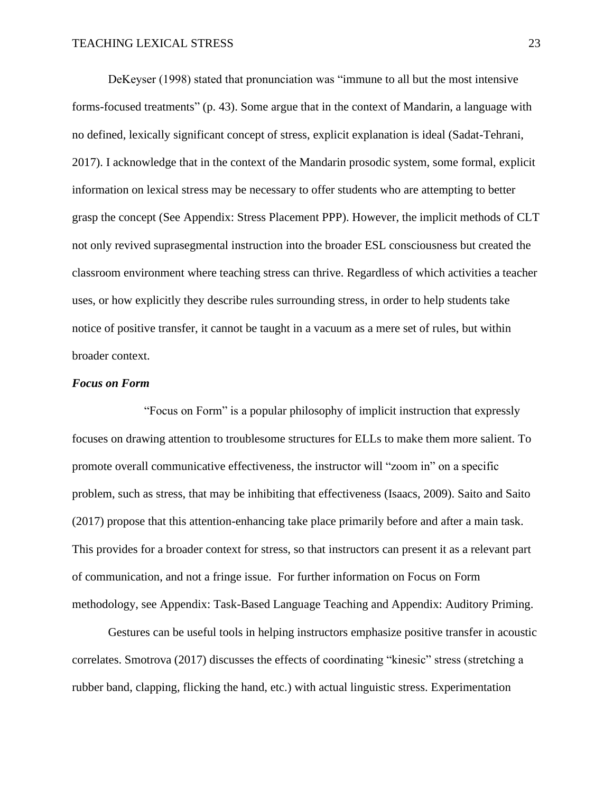DeKeyser (1998) stated that pronunciation was "immune to all but the most intensive forms-focused treatments" (p. 43). Some argue that in the context of Mandarin, a language with no defined, lexically significant concept of stress, explicit explanation is ideal (Sadat-Tehrani, 2017). I acknowledge that in the context of the Mandarin prosodic system, some formal, explicit information on lexical stress may be necessary to offer students who are attempting to better grasp the concept (See Appendix: Stress Placement PPP). However, the implicit methods of CLT not only revived suprasegmental instruction into the broader ESL consciousness but created the classroom environment where teaching stress can thrive. Regardless of which activities a teacher uses, or how explicitly they describe rules surrounding stress, in order to help students take notice of positive transfer, it cannot be taught in a vacuum as a mere set of rules, but within broader context.

### *Focus on Form*

"Focus on Form" is a popular philosophy of implicit instruction that expressly focuses on drawing attention to troublesome structures for ELLs to make them more salient. To promote overall communicative effectiveness, the instructor will "zoom in" on a specific problem, such as stress, that may be inhibiting that effectiveness (Isaacs, 2009). Saito and Saito (2017) propose that this attention-enhancing take place primarily before and after a main task. This provides for a broader context for stress, so that instructors can present it as a relevant part of communication, and not a fringe issue. For further information on Focus on Form methodology, see Appendix: Task-Based Language Teaching and Appendix: Auditory Priming.

Gestures can be useful tools in helping instructors emphasize positive transfer in acoustic correlates. Smotrova (2017) discusses the effects of coordinating "kinesic" stress (stretching a rubber band, clapping, flicking the hand, etc.) with actual linguistic stress. Experimentation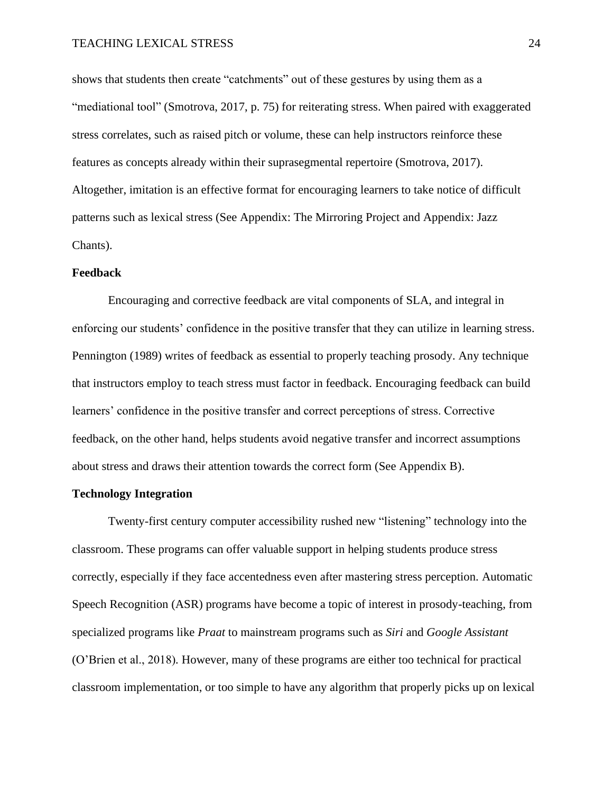shows that students then create "catchments" out of these gestures by using them as a "mediational tool" (Smotrova, 2017, p. 75) for reiterating stress. When paired with exaggerated stress correlates, such as raised pitch or volume, these can help instructors reinforce these features as concepts already within their suprasegmental repertoire (Smotrova, 2017). Altogether, imitation is an effective format for encouraging learners to take notice of difficult patterns such as lexical stress (See Appendix: The Mirroring Project and Appendix: Jazz Chants).

### **Feedback**

Encouraging and corrective feedback are vital components of SLA, and integral in enforcing our students' confidence in the positive transfer that they can utilize in learning stress. Pennington (1989) writes of feedback as essential to properly teaching prosody. Any technique that instructors employ to teach stress must factor in feedback. Encouraging feedback can build learners' confidence in the positive transfer and correct perceptions of stress. Corrective feedback, on the other hand, helps students avoid negative transfer and incorrect assumptions about stress and draws their attention towards the correct form (See Appendix B).

# **Technology Integration**

Twenty-first century computer accessibility rushed new "listening" technology into the classroom. These programs can offer valuable support in helping students produce stress correctly, especially if they face accentedness even after mastering stress perception. Automatic Speech Recognition (ASR) programs have become a topic of interest in prosody-teaching, from specialized programs like *Praat* to mainstream programs such as *Siri* and *Google Assistant* (O'Brien et al., 2018)*.* However, many of these programs are either too technical for practical classroom implementation, or too simple to have any algorithm that properly picks up on lexical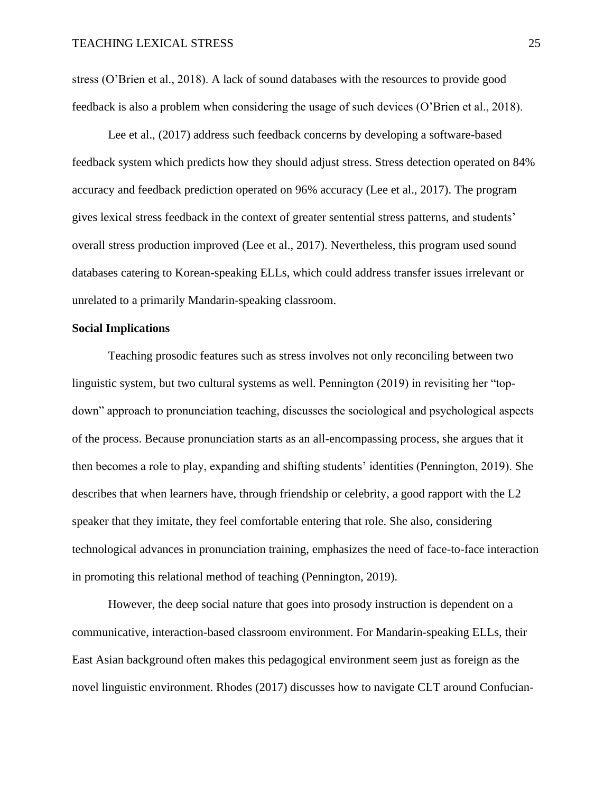stress (O'Brien et al., 2018). A lack of sound databases with the resources to provide good feedback is also a problem when considering the usage of such devices (O'Brien et al., 2018).

Lee et al., (2017) address such feedback concerns by developing a software-based feedback system which predicts how they should adjust stress. Stress detection operated on 84% accuracy and feedback prediction operated on 96% accuracy (Lee et al., 2017). The program gives lexical stress feedback in the context of greater sentential stress patterns, and students' overall stress production improved (Lee et al., 2017). Nevertheless, this program used sound databases catering to Korean-speaking ELLs, which could address transfer issues irrelevant or unrelated to a primarily Mandarin-speaking classroom.

### **Social Implications**

Teaching prosodic features such as stress involves not only reconciling between two linguistic system, but two cultural systems as well. Pennington (2019) in revisiting her "topdown" approach to pronunciation teaching, discusses the sociological and psychological aspects of the process. Because pronunciation starts as an all-encompassing process, she argues that it then becomes a role to play, expanding and shifting students' identities (Pennington, 2019). She describes that when learners have, through friendship or celebrity, a good rapport with the L2 speaker that they imitate, they feel comfortable entering that role. She also, considering technological advances in pronunciation training, emphasizes the need of face-to-face interaction in promoting this relational method of teaching (Pennington, 2019).

However, the deep social nature that goes into prosody instruction is dependent on a communicative, interaction-based classroom environment. For Mandarin-speaking ELLs, their East Asian background often makes this pedagogical environment seem just as foreign as the novel linguistic environment. Rhodes (2017) discusses how to navigate CLT around Confucian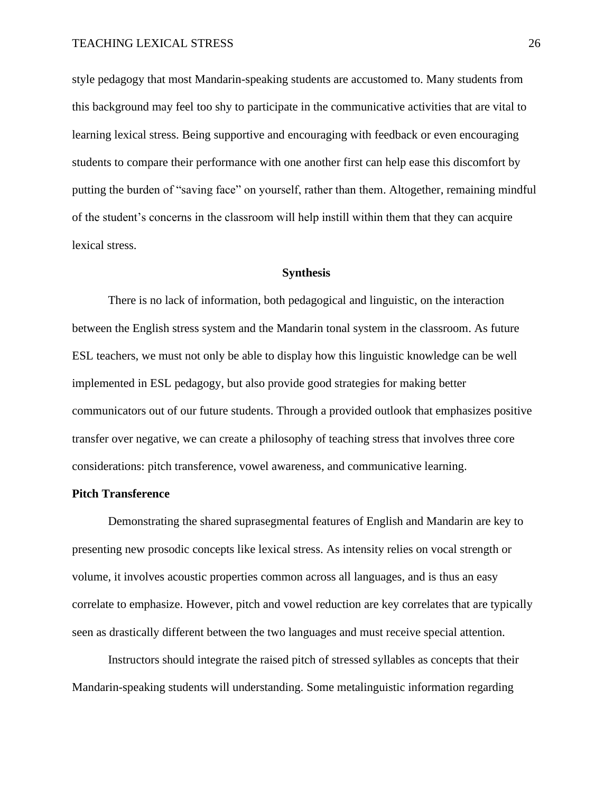style pedagogy that most Mandarin-speaking students are accustomed to. Many students from this background may feel too shy to participate in the communicative activities that are vital to learning lexical stress. Being supportive and encouraging with feedback or even encouraging students to compare their performance with one another first can help ease this discomfort by putting the burden of "saving face" on yourself, rather than them. Altogether, remaining mindful of the student's concerns in the classroom will help instill within them that they can acquire lexical stress.

# **Synthesis**

There is no lack of information, both pedagogical and linguistic, on the interaction between the English stress system and the Mandarin tonal system in the classroom. As future ESL teachers, we must not only be able to display how this linguistic knowledge can be well implemented in ESL pedagogy, but also provide good strategies for making better communicators out of our future students. Through a provided outlook that emphasizes positive transfer over negative, we can create a philosophy of teaching stress that involves three core considerations: pitch transference, vowel awareness, and communicative learning.

# **Pitch Transference**

Demonstrating the shared suprasegmental features of English and Mandarin are key to presenting new prosodic concepts like lexical stress. As intensity relies on vocal strength or volume, it involves acoustic properties common across all languages, and is thus an easy correlate to emphasize. However, pitch and vowel reduction are key correlates that are typically seen as drastically different between the two languages and must receive special attention.

Instructors should integrate the raised pitch of stressed syllables as concepts that their Mandarin-speaking students will understanding. Some metalinguistic information regarding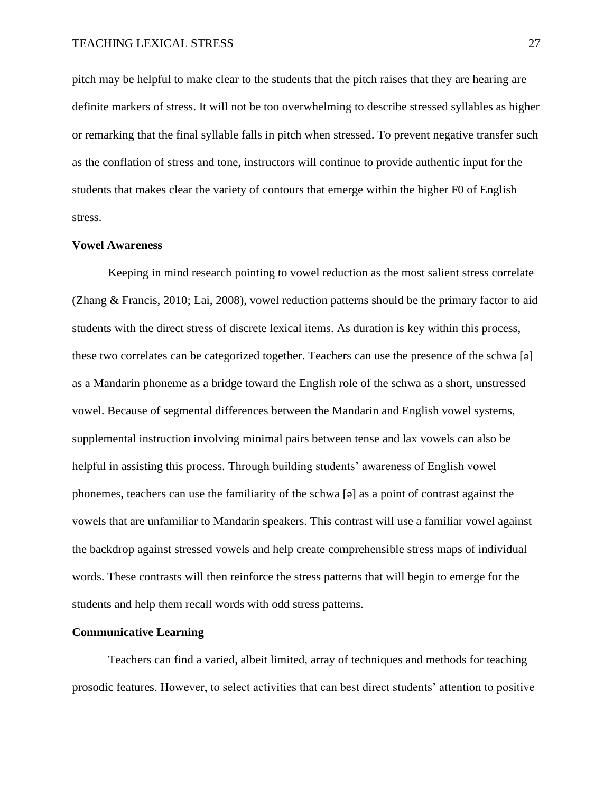pitch may be helpful to make clear to the students that the pitch raises that they are hearing are definite markers of stress. It will not be too overwhelming to describe stressed syllables as higher or remarking that the final syllable falls in pitch when stressed. To prevent negative transfer such as the conflation of stress and tone, instructors will continue to provide authentic input for the students that makes clear the variety of contours that emerge within the higher F0 of English stress.

# **Vowel Awareness**

Keeping in mind research pointing to vowel reduction as the most salient stress correlate (Zhang & Francis, 2010; Lai, 2008), vowel reduction patterns should be the primary factor to aid students with the direct stress of discrete lexical items. As duration is key within this process, these two correlates can be categorized together. Teachers can use the presence of the schwa [ə] as a Mandarin phoneme as a bridge toward the English role of the schwa as a short, unstressed vowel. Because of segmental differences between the Mandarin and English vowel systems, supplemental instruction involving minimal pairs between tense and lax vowels can also be helpful in assisting this process. Through building students' awareness of English vowel phonemes, teachers can use the familiarity of the schwa [ə] as a point of contrast against the vowels that are unfamiliar to Mandarin speakers. This contrast will use a familiar vowel against the backdrop against stressed vowels and help create comprehensible stress maps of individual words. These contrasts will then reinforce the stress patterns that will begin to emerge for the students and help them recall words with odd stress patterns.

#### **Communicative Learning**

Teachers can find a varied, albeit limited, array of techniques and methods for teaching prosodic features. However, to select activities that can best direct students' attention to positive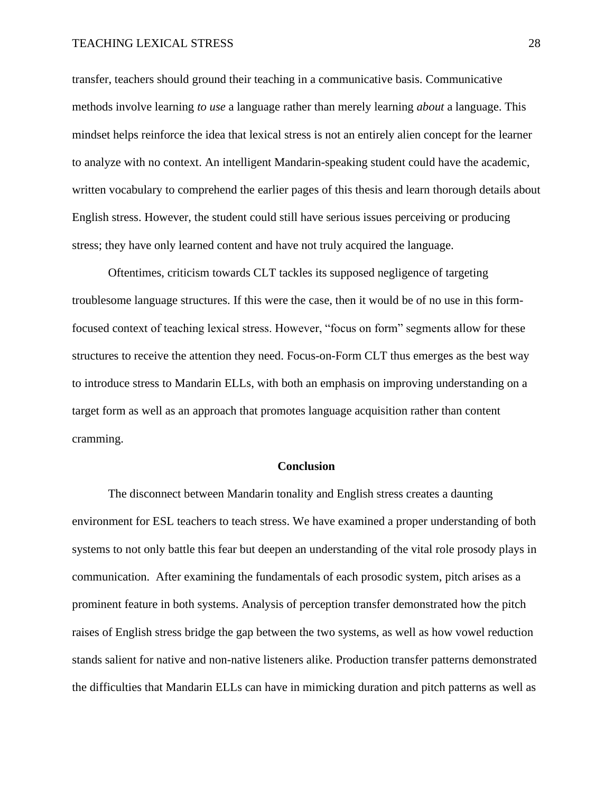transfer, teachers should ground their teaching in a communicative basis. Communicative methods involve learning *to use* a language rather than merely learning *about* a language. This mindset helps reinforce the idea that lexical stress is not an entirely alien concept for the learner to analyze with no context. An intelligent Mandarin-speaking student could have the academic, written vocabulary to comprehend the earlier pages of this thesis and learn thorough details about English stress. However, the student could still have serious issues perceiving or producing stress; they have only learned content and have not truly acquired the language.

Oftentimes, criticism towards CLT tackles its supposed negligence of targeting troublesome language structures. If this were the case, then it would be of no use in this formfocused context of teaching lexical stress. However, "focus on form" segments allow for these structures to receive the attention they need. Focus-on-Form CLT thus emerges as the best way to introduce stress to Mandarin ELLs, with both an emphasis on improving understanding on a target form as well as an approach that promotes language acquisition rather than content cramming.

### **Conclusion**

The disconnect between Mandarin tonality and English stress creates a daunting environment for ESL teachers to teach stress. We have examined a proper understanding of both systems to not only battle this fear but deepen an understanding of the vital role prosody plays in communication. After examining the fundamentals of each prosodic system, pitch arises as a prominent feature in both systems. Analysis of perception transfer demonstrated how the pitch raises of English stress bridge the gap between the two systems, as well as how vowel reduction stands salient for native and non-native listeners alike. Production transfer patterns demonstrated the difficulties that Mandarin ELLs can have in mimicking duration and pitch patterns as well as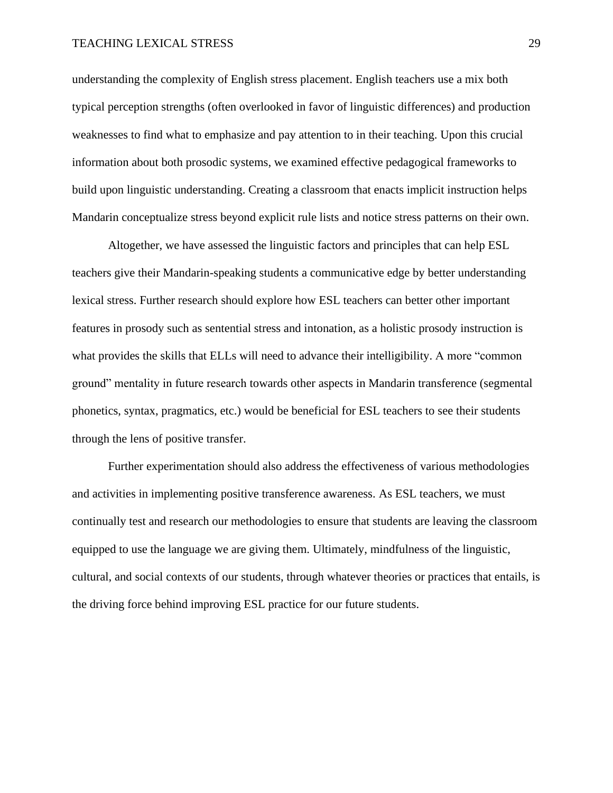understanding the complexity of English stress placement. English teachers use a mix both typical perception strengths (often overlooked in favor of linguistic differences) and production weaknesses to find what to emphasize and pay attention to in their teaching. Upon this crucial information about both prosodic systems, we examined effective pedagogical frameworks to build upon linguistic understanding. Creating a classroom that enacts implicit instruction helps Mandarin conceptualize stress beyond explicit rule lists and notice stress patterns on their own.

Altogether, we have assessed the linguistic factors and principles that can help ESL teachers give their Mandarin-speaking students a communicative edge by better understanding lexical stress. Further research should explore how ESL teachers can better other important features in prosody such as sentential stress and intonation, as a holistic prosody instruction is what provides the skills that ELLs will need to advance their intelligibility. A more "common ground" mentality in future research towards other aspects in Mandarin transference (segmental phonetics, syntax, pragmatics, etc.) would be beneficial for ESL teachers to see their students through the lens of positive transfer.

Further experimentation should also address the effectiveness of various methodologies and activities in implementing positive transference awareness. As ESL teachers, we must continually test and research our methodologies to ensure that students are leaving the classroom equipped to use the language we are giving them. Ultimately, mindfulness of the linguistic, cultural, and social contexts of our students, through whatever theories or practices that entails, is the driving force behind improving ESL practice for our future students.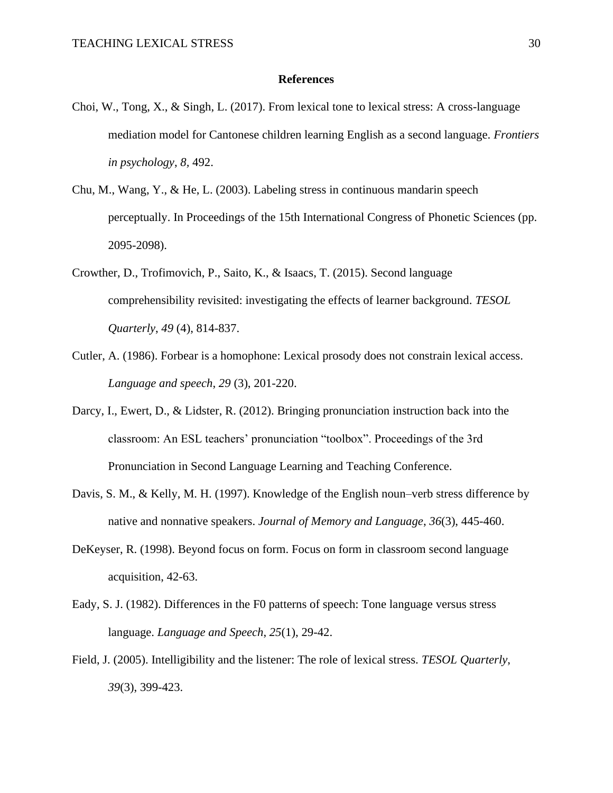### **References**

- Choi, W., Tong, X., & Singh, L. (2017). From lexical tone to lexical stress: A cross-language mediation model for Cantonese children learning English as a second language. *Frontiers in psychology*, *8,* 492.
- Chu, M., Wang, Y., & He, L. (2003). Labeling stress in continuous mandarin speech perceptually. In Proceedings of the 15th International Congress of Phonetic Sciences (pp. 2095-2098).
- Crowther, D., Trofimovich, P., Saito, K., & Isaacs, T. (2015). Second language comprehensibility revisited: investigating the effects of learner background. *TESOL Quarterly*, *49* (4), 814-837.
- Cutler, A. (1986). Forbear is a homophone: Lexical prosody does not constrain lexical access. *Language and speech*, *29* (3), 201-220.
- Darcy, I., Ewert, D., & Lidster, R. (2012). Bringing pronunciation instruction back into the classroom: An ESL teachers' pronunciation "toolbox". Proceedings of the 3rd Pronunciation in Second Language Learning and Teaching Conference.
- Davis, S. M., & Kelly, M. H. (1997). Knowledge of the English noun–verb stress difference by native and nonnative speakers. *Journal of Memory and Language*, *36*(3), 445-460.
- DeKeyser, R. (1998). Beyond focus on form. Focus on form in classroom second language acquisition, 42-63.
- Eady, S. J. (1982). Differences in the F0 patterns of speech: Tone language versus stress language. *Language and Speech*, *25*(1), 29-42.
- Field, J. (2005). Intelligibility and the listener: The role of lexical stress. *TESOL Quarterly*, *39*(3), 399-423.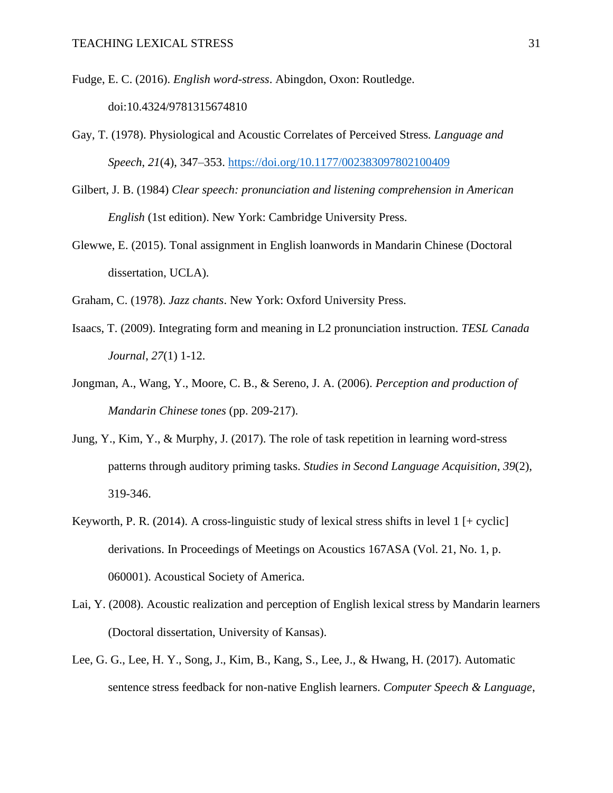Fudge, E. C. (2016). *English word-stress*. Abingdon, Oxon: Routledge. doi:10.4324/9781315674810

- Gay, T. (1978). Physiological and Acoustic Correlates of Perceived Stress*. Language and Speech*, *21*(4), 347–353.<https://doi.org/10.1177/002383097802100409>
- Gilbert, J. B. (1984) *Clear speech: pronunciation and listening comprehension in American English* (1st edition). New York: Cambridge University Press.
- Glewwe, E. (2015). Tonal assignment in English loanwords in Mandarin Chinese (Doctoral dissertation, UCLA).
- Graham, C. (1978). *Jazz chants*. New York: Oxford University Press.
- Isaacs, T. (2009). Integrating form and meaning in L2 pronunciation instruction. *TESL Canada Journal*, *27*(1) 1-12.
- Jongman, A., Wang, Y., Moore, C. B., & Sereno, J. A. (2006). *Perception and production of Mandarin Chinese tones* (pp. 209-217).
- Jung, Y., Kim, Y., & Murphy, J. (2017). The role of task repetition in learning word-stress patterns through auditory priming tasks. *Studies in Second Language Acquisition*, *39*(2), 319-346.
- Keyworth, P. R. (2014). A cross-linguistic study of lexical stress shifts in level  $1$  [+ cyclic] derivations. In Proceedings of Meetings on Acoustics 167ASA (Vol. 21, No. 1, p. 060001). Acoustical Society of America.
- Lai, Y. (2008). Acoustic realization and perception of English lexical stress by Mandarin learners (Doctoral dissertation, University of Kansas).
- Lee, G. G., Lee, H. Y., Song, J., Kim, B., Kang, S., Lee, J., & Hwang, H. (2017). Automatic sentence stress feedback for non-native English learners. *Computer Speech & Language*,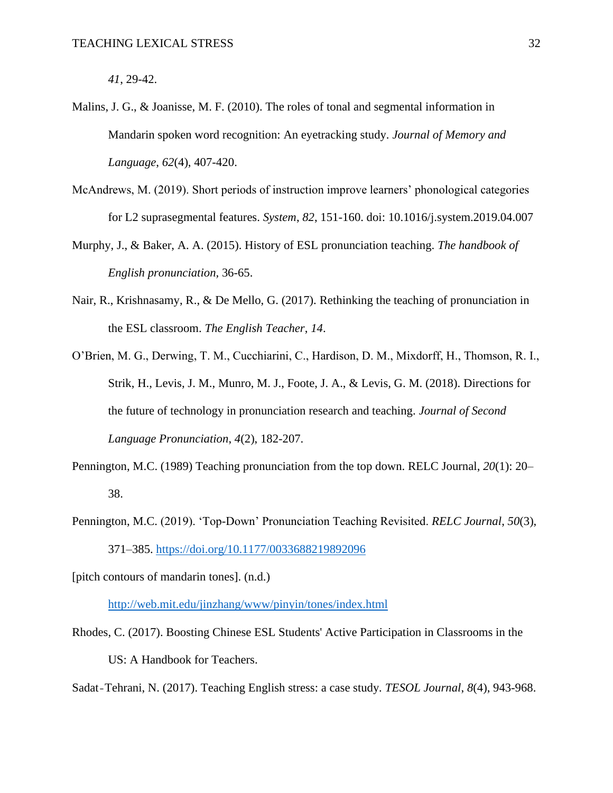*41*, 29-42.

- Malins, J. G., & Joanisse, M. F. (2010). The roles of tonal and segmental information in Mandarin spoken word recognition: An eyetracking study*. Journal of Memory and Language*, *62*(4), 407-420.
- McAndrews, M. (2019). Short periods of instruction improve learners' phonological categories for L2 suprasegmental features. *System*, *82*, 151-160. doi: 10.1016/j.system.2019.04.007
- Murphy, J., & Baker, A. A. (2015). History of ESL pronunciation teaching. *The handbook of English pronunciation,* 36-65.
- Nair, R., Krishnasamy, R., & De Mello, G. (2017). Rethinking the teaching of pronunciation in the ESL classroom. *The English Teacher*, *14*.
- O'Brien, M. G., Derwing, T. M., Cucchiarini, C., Hardison, D. M., Mixdorff, H., Thomson, R. I., Strik, H., Levis, J. M., Munro, M. J., Foote, J. A., & Levis, G. M. (2018). Directions for the future of technology in pronunciation research and teaching. *Journal of Second Language Pronunciation*, *4*(2), 182-207.
- Pennington, M.C. (1989) Teaching pronunciation from the top down. RELC Journal, *20*(1): 20– 38.
- Pennington, M.C. (2019). 'Top-Down' Pronunciation Teaching Revisited. *RELC Journal*, *50*(3), 371–385.<https://doi.org/10.1177/0033688219892096>

[pitch contours of mandarin tones]. (n.d.)

<http://web.mit.edu/jinzhang/www/pinyin/tones/index.html>

Rhodes, C. (2017). Boosting Chinese ESL Students' Active Participation in Classrooms in the US: A Handbook for Teachers.

Sadat‐Tehrani, N. (2017). Teaching English stress: a case study*. TESOL Journal*, *8*(4), 943-968.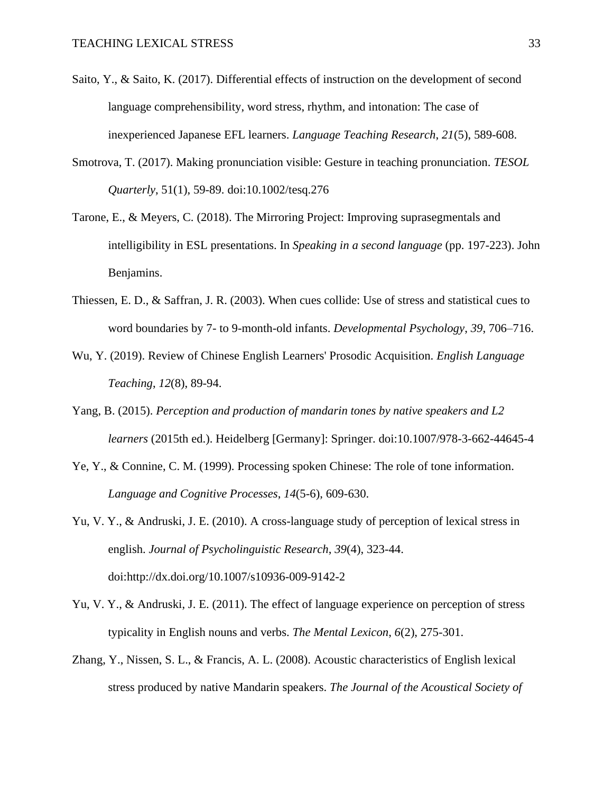- Saito, Y., & Saito, K. (2017). Differential effects of instruction on the development of second language comprehensibility, word stress, rhythm, and intonation: The case of inexperienced Japanese EFL learners. *Language Teaching Research*, *21*(5), 589-608.
- Smotrova, T. (2017). Making pronunciation visible: Gesture in teaching pronunciation. *TESOL Quarterly*, 51(1), 59-89. doi:10.1002/tesq.276
- Tarone, E., & Meyers, C. (2018). The Mirroring Project: Improving suprasegmentals and intelligibility in ESL presentations. In *Speaking in a second language* (pp. 197-223). John Benjamins.
- Thiessen, E. D., & Saffran, J. R. (2003). When cues collide: Use of stress and statistical cues to word boundaries by 7- to 9-month-old infants. *Developmental Psychology*, *39*, 706–716.
- Wu, Y. (2019). Review of Chinese English Learners' Prosodic Acquisition. *English Language Teaching*, *12*(8), 89-94.
- Yang, B. (2015). *Perception and production of mandarin tones by native speakers and L2 learners* (2015th ed.). Heidelberg [Germany]: Springer. doi:10.1007/978-3-662-44645-4
- Ye, Y., & Connine, C. M. (1999). Processing spoken Chinese: The role of tone information. *Language and Cognitive Processes*, *14*(5-6), 609-630.
- Yu, V. Y., & Andruski, J. E. (2010). A cross-language study of perception of lexical stress in english. *Journal of Psycholinguistic Research*, *39*(4), 323-44. doi:http://dx.doi.org/10.1007/s10936-009-9142-2
- Yu, V. Y., & Andruski, J. E. (2011). The effect of language experience on perception of stress typicality in English nouns and verbs. *The Mental Lexicon*, *6*(2), 275-301.
- Zhang, Y., Nissen, S. L., & Francis, A. L. (2008). Acoustic characteristics of English lexical stress produced by native Mandarin speakers. *The Journal of the Acoustical Society of*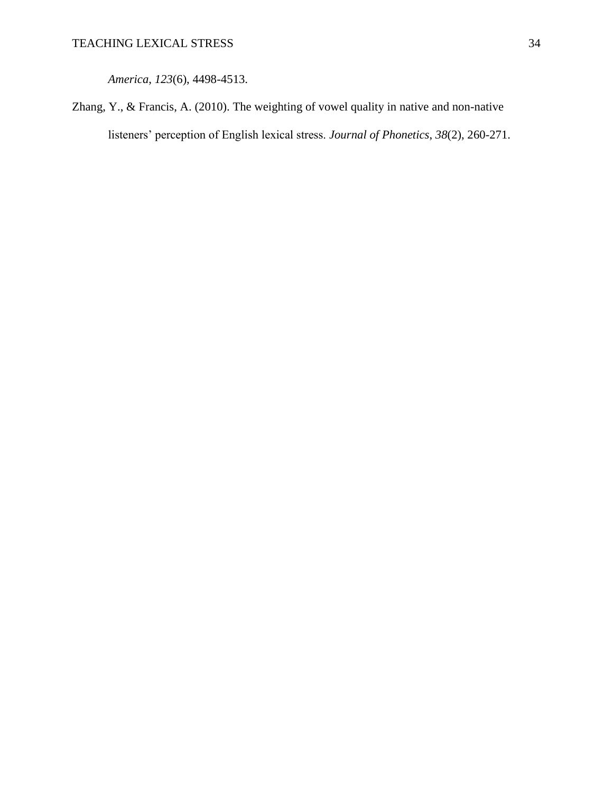*America*, *123*(6), 4498-4513.

Zhang, Y., & Francis, A. (2010). The weighting of vowel quality in native and non-native listeners' perception of English lexical stress. *Journal of Phonetics*, *38*(2), 260-271.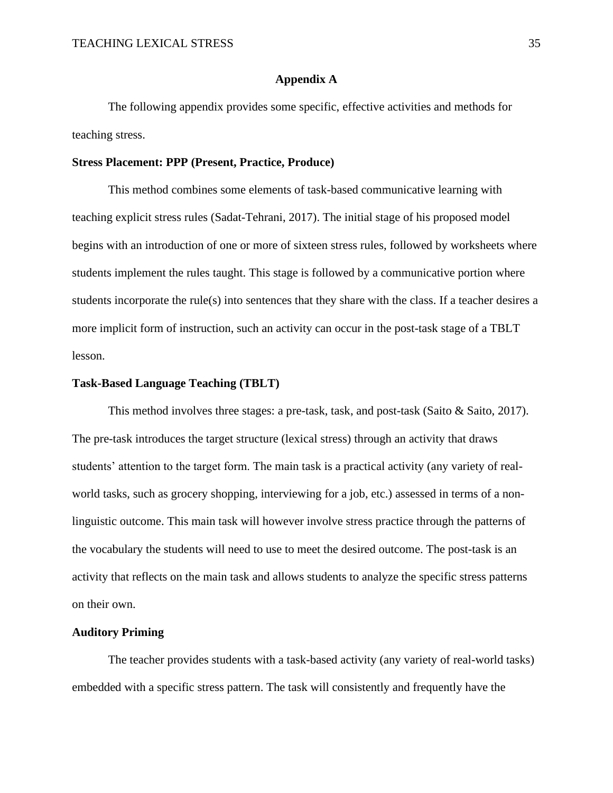# **Appendix A**

The following appendix provides some specific, effective activities and methods for teaching stress.

## **Stress Placement: PPP (Present, Practice, Produce)**

This method combines some elements of task-based communicative learning with teaching explicit stress rules (Sadat-Tehrani, 2017). The initial stage of his proposed model begins with an introduction of one or more of sixteen stress rules, followed by worksheets where students implement the rules taught. This stage is followed by a communicative portion where students incorporate the rule(s) into sentences that they share with the class. If a teacher desires a more implicit form of instruction, such an activity can occur in the post-task stage of a TBLT lesson.

### **Task-Based Language Teaching (TBLT)**

This method involves three stages: a pre-task, task, and post-task (Saito & Saito, 2017). The pre-task introduces the target structure (lexical stress) through an activity that draws students' attention to the target form. The main task is a practical activity (any variety of realworld tasks, such as grocery shopping, interviewing for a job, etc.) assessed in terms of a nonlinguistic outcome. This main task will however involve stress practice through the patterns of the vocabulary the students will need to use to meet the desired outcome. The post-task is an activity that reflects on the main task and allows students to analyze the specific stress patterns on their own.

### **Auditory Priming**

The teacher provides students with a task-based activity (any variety of real-world tasks) embedded with a specific stress pattern. The task will consistently and frequently have the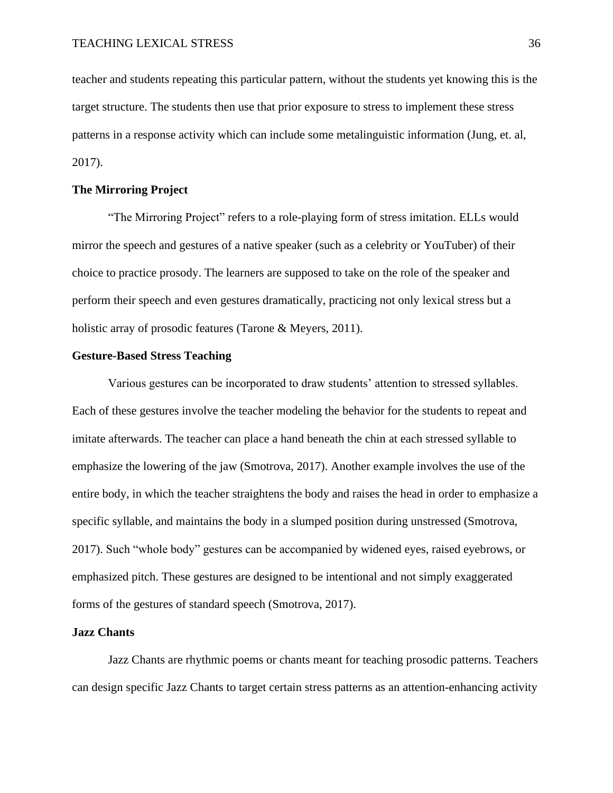teacher and students repeating this particular pattern, without the students yet knowing this is the target structure. The students then use that prior exposure to stress to implement these stress patterns in a response activity which can include some metalinguistic information (Jung, et. al, 2017).

# **The Mirroring Project**

"The Mirroring Project" refers to a role-playing form of stress imitation. ELLs would mirror the speech and gestures of a native speaker (such as a celebrity or YouTuber) of their choice to practice prosody. The learners are supposed to take on the role of the speaker and perform their speech and even gestures dramatically, practicing not only lexical stress but a holistic array of prosodic features (Tarone & Meyers, 2011).

### **Gesture-Based Stress Teaching**

Various gestures can be incorporated to draw students' attention to stressed syllables. Each of these gestures involve the teacher modeling the behavior for the students to repeat and imitate afterwards. The teacher can place a hand beneath the chin at each stressed syllable to emphasize the lowering of the jaw (Smotrova, 2017). Another example involves the use of the entire body, in which the teacher straightens the body and raises the head in order to emphasize a specific syllable, and maintains the body in a slumped position during unstressed (Smotrova, 2017). Such "whole body" gestures can be accompanied by widened eyes, raised eyebrows, or emphasized pitch. These gestures are designed to be intentional and not simply exaggerated forms of the gestures of standard speech (Smotrova, 2017).

# **Jazz Chants**

Jazz Chants are rhythmic poems or chants meant for teaching prosodic patterns. Teachers can design specific Jazz Chants to target certain stress patterns as an attention-enhancing activity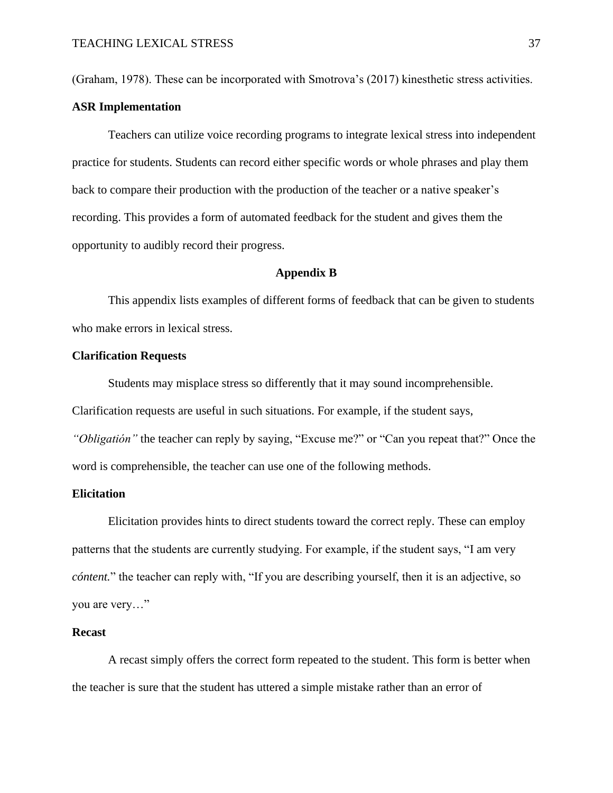(Graham, 1978). These can be incorporated with Smotrova's (2017) kinesthetic stress activities.

### **ASR Implementation**

Teachers can utilize voice recording programs to integrate lexical stress into independent practice for students. Students can record either specific words or whole phrases and play them back to compare their production with the production of the teacher or a native speaker's recording. This provides a form of automated feedback for the student and gives them the opportunity to audibly record their progress.

### **Appendix B**

This appendix lists examples of different forms of feedback that can be given to students who make errors in lexical stress.

### **Clarification Requests**

Students may misplace stress so differently that it may sound incomprehensible.

Clarification requests are useful in such situations. For example, if the student says,

*"Obligatión"* the teacher can reply by saying, "Excuse me?" or "Can you repeat that?" Once the word is comprehensible, the teacher can use one of the following methods.

# **Elicitation**

Elicitation provides hints to direct students toward the correct reply. These can employ patterns that the students are currently studying. For example, if the student says, "I am very *cóntent.*" the teacher can reply with, "If you are describing yourself, then it is an adjective, so you are very…"

### **Recast**

A recast simply offers the correct form repeated to the student. This form is better when the teacher is sure that the student has uttered a simple mistake rather than an error of